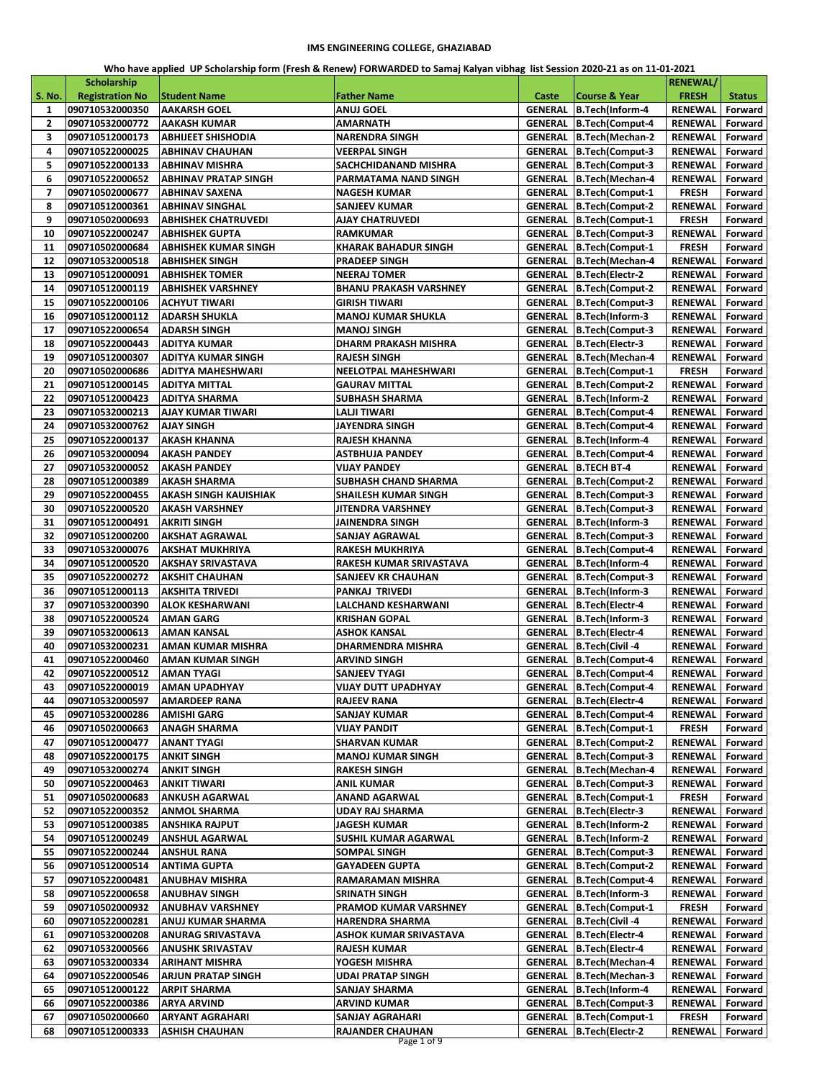## **IMS ENGINEERING COLLEGE, GHAZIABAD**

**Who have applied UP Scholarship form (Fresh & Renew) FORWARDED to Samaj Kalyan vibhag list Session 2020-21 as on 11-01-2021**

|                          | <b>Scholarship</b>     |                             |                             |         |                                  | <b>RENEWAL/</b>          |               |
|--------------------------|------------------------|-----------------------------|-----------------------------|---------|----------------------------------|--------------------------|---------------|
| <b>S. No.</b>            | <b>Registration No</b> | <b>Student Name</b>         | <b>Father Name</b>          | Caste   | <b>Course &amp; Year</b>         | <b>FRESH</b>             | <b>Status</b> |
| $\mathbf{1}$             | 090710532000350        | <b>AAKARSH GOEL</b>         | ANUJ GOEL                   |         | GENERAL B.Tech(Inform-4          | <b>RENEWAL</b>           | Forward       |
| 2                        | 090710532000772        | <b>AAKASH KUMAR</b>         | AMARNATH                    |         | GENERAL B.Tech(Comput-4          | RENEWAL                  | Forward       |
| 3                        |                        |                             |                             |         |                                  |                          |               |
|                          | 090710512000173        | <b>ABHIJEET SHISHODIA</b>   | NARENDRA SINGH              |         | GENERAL B.Tech(Mechan-2          | RENEWAL                  | Forward       |
| 4                        | 090710522000025        | <b>ABHINAV CHAUHAN</b>      | <b>VEERPAL SINGH</b>        |         | <b>GENERAL B.Tech(Comput-3</b>   | RENEWAL                  | Forward       |
| 5                        | 090710522000133        | <b>ABHINAV MISHRA</b>       | SACHCHIDANAND MISHRA        |         | <b>GENERAL B.Tech(Comput-3</b>   | RENEWAL                  | Forward       |
| 6                        | 090710522000652        | <b>ABHINAV PRATAP SINGH</b> | PARMATAMA NAND SINGH        |         | GENERAL B.Tech(Mechan-4          | <b>RENEWAL</b>           | Forward       |
| $\overline{\phantom{a}}$ | 090710502000677        | <b>ABHINAV SAXENA</b>       | <b>NAGESH KUMAR</b>         |         | <b>GENERAL B.Tech(Comput-1</b>   | <b>FRESH</b>             | Forward       |
| 8                        | 090710512000361        | <b>ABHINAV SINGHAL</b>      | SANJEEV KUMAR               |         | <b>GENERAL B.Tech(Comput-2</b>   | <b>RENEWAL</b>           | Forward       |
| 9                        | 090710502000693        | <b>ABHISHEK CHATRUVEDI</b>  | AJAY CHATRUVEDI             |         | <b>GENERAL B.Tech(Comput-1</b>   | <b>FRESH</b>             | Forward       |
| 10                       | 090710522000247        | <b>ABHISHEK GUPTA</b>       | RAMKUMAR                    |         | <b>GENERAL B.Tech(Comput-3</b>   | <b>RENEWAL</b>           | Forward       |
| 11                       | 090710502000684        | <b>ABHISHEK KUMAR SINGH</b> | <b>KHARAK BAHADUR SINGH</b> |         | <b>GENERAL B.Tech(Comput-1</b>   | <b>FRESH</b>             | Forward       |
| 12                       | 090710532000518        | <b>ABHISHEK SINGH</b>       | PRADEEP SINGH               |         | GENERAL B.Tech(Mechan-4          | RENEWAL                  | Forward       |
| 13                       | 090710512000091        | <b>ABHISHEK TOMER</b>       | <b>NEERAJ TOMER</b>         |         | GENERAL B.Tech(Electr-2          | RENEWAL                  | Forward       |
| 14                       | 090710512000119        | <b>ABHISHEK VARSHNEY</b>    | BHANU PRAKASH VARSHNEY      |         | <b>GENERAL B.Tech(Comput-2</b>   | RENEWAL                  | Forward       |
| 15                       | 090710522000106        | <b>ACHYUT TIWARI</b>        | GIRISH TIWARI               |         | GENERAL B.Tech(Comput-3          | <b>RENEWAL</b>           | Forward       |
| 16                       | 090710512000112        | <b>ADARSH SHUKLA</b>        | MANOJ KUMAR SHUKLA          |         | GENERAL B.Tech(Inform-3          | <b>RENEWAL</b>           | Forward       |
|                          |                        |                             |                             |         |                                  |                          |               |
| 17                       | 090710522000654        | <b>ADARSH SINGH</b>         | MANOJ SINGH                 |         | <b>GENERAL B.Tech(Comput-3</b>   | RENEWAL                  | Forward       |
| 18                       | 090710522000443        | <b>ADITYA KUMAR</b>         | DHARM PRAKASH MISHRA        | GENERAL | B.Tech(Electr-3                  | <b>RENEWAL</b>           | Forward       |
| 19                       | 090710512000307        | <b>ADITYA KUMAR SINGH</b>   | RAJESH SINGH                |         | GENERAL B.Tech(Mechan-4          | <b>RENEWAL</b>           | Forward       |
| 20                       | 090710502000686        | <b>ADITYA MAHESHWARI</b>    | NEELOTPAL MAHESHWARI        |         | <b>GENERAL B.Tech(Comput-1</b>   | <b>FRESH</b>             | Forward       |
| 21                       | 090710512000145        | <b>ADITYA MITTAL</b>        | GAURAV MITTAL               |         | GENERAL B.Tech(Comput-2          | <b>RENEWAL</b>           | Forward       |
| 22                       | 090710512000423        | <b>ADITYA SHARMA</b>        | <b>SUBHASH SHARMA</b>       |         | GENERAL B.Tech(Inform-2          | <b>RENEWAL</b>           | Forward       |
| 23                       | 090710532000213        | AJAY KUMAR TIWARI           | LALJI TIWARI                |         | <b>GENERAL B.Tech(Comput-4</b>   | <b>RENEWAL</b>           | Forward       |
| 24                       | 090710532000762        | AJAY SINGH                  | JAYENDRA SINGH              |         | GENERAL B.Tech(Comput-4          | RENEWAL                  | Forward       |
| 25                       | 090710522000137        | <b>AKASH KHANNA</b>         | <b>RAJESH KHANNA</b>        |         | GENERAL B.Tech(Inform-4          | <b>RENEWAL</b>           | Forward       |
| 26                       | 090710532000094        | <b>AKASH PANDEY</b>         | ASTBHUJA PANDEY             |         | <b>GENERAL B.Tech(Comput-4</b>   | <b>RENEWAL</b>           | Forward       |
| 27                       | 090710532000052        | <b>AKASH PANDEY</b>         | VIJAY PANDEY                |         | <b>GENERAL   B.TECH BT-4</b>     | RENEWAL                  | Forward       |
| 28                       | 090710512000389        | <b>AKASH SHARMA</b>         | SUBHASH CHAND SHARMA        |         | <b>GENERAL B.Tech(Comput-2</b>   | RENEWAL                  | Forward       |
| 29                       | 090710522000455        | AKASH SINGH KAUISHIAK       | SHAILESH KUMAR SINGH        |         | <b>GENERAL B.Tech(Comput-3</b>   | RENEWAL                  | Forward       |
|                          |                        |                             |                             |         |                                  |                          |               |
| 30                       | 090710522000520        | <b>AKASH VARSHNEY</b>       | JITENDRA VARSHNEY           |         | <b>GENERAL B.Tech(Comput-3</b>   | <b>RENEWAL</b>           | Forward       |
| 31                       | 090710512000491        | <b>AKRITI SINGH</b>         | JAINENDRA SINGH             |         | GENERAL B.Tech(Inform-3          | <b>RENEWAL</b>           | Forward       |
| 32                       | 090710512000200        | <b>AKSHAT AGRAWAL</b>       | SANJAY AGRAWAL              |         | <b>GENERAL B.Tech(Comput-3</b>   | RENEWAL                  | Forward       |
| 33                       | 090710532000076        | <b>AKSHAT MUKHRIYA</b>      | RAKESH MUKHRIYA             |         | <b>GENERAL B.Tech(Comput-4</b>   | <b>RENEWAL</b>           | Forward       |
| 34                       | 090710512000520        | <b>AKSHAY SRIVASTAVA</b>    | RAKESH KUMAR SRIVASTAVA     |         | GENERAL B.Tech(Inform-4          | RENEWAL                  | Forward       |
| 35                       | 090710522000272        | <b>AKSHIT CHAUHAN</b>       | SANJEEV KR CHAUHAN          |         | <b>GENERAL B.Tech(Comput-3</b>   | RENEWAL                  | Forward       |
| 36                       | 090710512000113        | <b>AKSHITA TRIVEDI</b>      | PANKAJ TRIVEDI              |         | GENERAL B.Tech(Inform-3          | RENEWAL                  | Forward       |
| 37                       | 090710532000390        | <b>ALOK KESHARWANI</b>      | LALCHAND KESHARWANI         |         | GENERAL   B.Tech(Electr-4        | <b>RENEWAL</b>           | Forward       |
| 38                       | 090710522000524        | <b>AMAN GARG</b>            | KRISHAN GOPAL               |         | GENERAL B.Tech(Inform-3          | RENEWAL                  | Forward       |
| 39                       | 090710532000613        | AMAN KANSAL                 | ASHOK KANSAL                |         | GENERAL B.Tech(Electr-4          | RENEWAL                  | Forward       |
| 40                       | 090710532000231        | <b>AMAN KUMAR MISHRA</b>    | DHARMENDRA MISHRA           | GENERAL | B.Tech(Civil-4                   | <b>RENEWAL</b>           | Forward       |
| 41                       | 090710522000460        | <b>AMAN KUMAR SINGH</b>     | ARVIND SINGH                |         | <b>GENERAL B.Tech(Comput-4</b>   | <b>RENEWAL</b>           | Forward       |
| 42                       | 090710522000512        | <b>AMAN TYAGI</b>           | SANJEEV TYAGI               |         | <b>GENERAL B.Tech(Comput-4</b>   | <b>RENEWAL</b>           | Forward       |
| 43                       | 090710522000019        | <b>AMAN UPADHYAY</b>        | <b>VIJAY DUTT UPADHYAY</b>  |         | GENERAL B.Tech(Comput-4          | RENEWAL Forward          |               |
|                          |                        |                             |                             |         |                                  |                          |               |
| 44                       | 090710532000597        | <b>AMARDEEP RANA</b>        | <b>RAJEEV RANA</b>          |         | GENERAL   B.Tech(Electr-4        | <b>RENEWAL</b>   Forward |               |
| 45                       | 090710532000286        | AMISHI GARG                 | SANJAY KUMAR                |         | GENERAL B.Tech(Comput-4          | RENEWAL                  | Forward       |
| 46                       | 090710502000663        | <b>ANAGH SHARMA</b>         | VIJAY PANDIT                |         | GENERAL B.Tech(Comput-1          | <b>FRESH</b>             | Forward       |
| 47                       | 090710512000477        | ANANT TYAGI                 | <b>SHARVAN KUMAR</b>        |         | <b>GENERAL B.Tech(Comput-2</b>   | <b>RENEWAL</b>           | Forward       |
| 48                       | 090710522000175        | <b>ANKIT SINGH</b>          | <b>MANOJ KUMAR SINGH</b>    |         | <b>GENERAL B.Tech(Comput-3</b>   | <b>RENEWAL</b>           | Forward       |
| 49                       | 090710532000274        | ANKIT SINGH                 | RAKESH SINGH                |         | GENERAL B.Tech(Mechan-4          | RENEWAL                  | Forward       |
| 50                       | 090710522000463        | <b>ANKIT TIWARI</b>         | ANIL KUMAR                  |         | <b>GENERAL B.Tech(Comput-3</b>   | <b>RENEWAL</b>           | Forward       |
| 51                       | 090710502000683        | <b>ANKUSH AGARWAL</b>       | <b>ANAND AGARWAL</b>        |         | <b>GENERAL B.Tech(Comput-1</b>   | <b>FRESH</b>             | Forward       |
| 52                       | 090710522000352        | <b>ANMOL SHARMA</b>         | UDAY RAJ SHARMA             |         | GENERAL   B.Tech (Electr-3       | <b>RENEWAL</b>           | Forward       |
| 53                       | 090710512000385        | <b>ANSHIKA RAJPUT</b>       | JAGESH KUMAR                |         | GENERAL B.Tech(Inform-2          | RENEWAL                  | Forward       |
| 54                       | 090710512000249        | <b>ANSHUL AGARWAL</b>       | SUSHIL KUMAR AGARWAL        |         | GENERAL B.Tech(Inform-2          | RENEWAL                  | Forward       |
| 55                       | 090710522000244        | <b>ANSHUL RANA</b>          | <b>SOMPAL SINGH</b>         |         | <b>GENERAL B.Tech(Comput-3</b>   | <b>RENEWAL</b>           | Forward       |
| 56                       | 090710512000514        | <b>ANTIMA GUPTA</b>         | GAYADEEN GUPTA              |         | <b>GENERAL B.Tech(Comput-2</b>   | <b>RENEWAL</b>           | Forward       |
| 57                       | 090710522000481        | <b>ANUBHAV MISHRA</b>       | RAMARAMAN MISHRA            |         | GENERAL B.Tech(Comput-4          | <b>RENEWAL</b>           | Forward       |
|                          | 090710522000658        | <b>ANUBHAV SINGH</b>        | SRINATH SINGH               |         | GENERAL B.Tech(Inform-3          | <b>RENEWAL</b>           | Forward       |
| 58                       |                        |                             |                             |         |                                  |                          |               |
| 59                       | 090710502000932        | <b>ANUBHAV VARSHNEY</b>     | PRAMOD KUMAR VARSHNEY       |         | <b>GENERAL   B.Tech(Comput-1</b> | <b>FRESH</b>             | Forward       |
| 60                       | 090710522000281        | ANUJ KUMAR SHARMA           | HARENDRA SHARMA             |         | GENERAL B.Tech(Civil-4           | <b>RENEWAL</b>           | Forward       |
| 61                       | 090710532000208        | <b>ANURAG SRIVASTAVA</b>    | ASHOK KUMAR SRIVASTAVA      |         | GENERAL   B.Tech(Electr-4        | <b>RENEWAL</b>           | Forward       |
| 62                       | 090710532000566        | <b>ANUSHK SRIVASTAV</b>     | RAJESH KUMAR                |         | GENERAL   B.Tech (Electr-4       | <b>RENEWAL</b>   Forward |               |
| 63                       | 090710532000334        | <b>ARIHANT MISHRA</b>       | YOGESH MISHRA               |         | GENERAL B.Tech(Mechan-4          | <b>RENEWAL</b>           | Forward       |
| 64                       | 090710522000546        | <b>ARJUN PRATAP SINGH</b>   | UDAI PRATAP SINGH           |         | GENERAL B.Tech(Mechan-3          | <b>RENEWAL</b>           | Forward       |
| 65                       | 090710512000122        | ARPIT SHARMA                | SANJAY SHARMA               |         | GENERAL B.Tech(Inform-4          | <b>RENEWAL</b>           | Forward       |
| 66                       | 090710522000386        | <b>ARYA ARVIND</b>          | ARVIND KUMAR                |         | <b>GENERAL B.Tech(Comput-3</b>   | RENEWAL                  | Forward       |
| 67                       | 090710502000660        | ARYANT AGRAHARI             | SANJAY AGRAHARI             |         | <b>GENERAL B.Tech(Comput-1</b>   | FRESH                    | Forward       |
| 68                       | 090710512000333        | <b>ASHISH CHAUHAN</b>       | RAJANDER CHAUHAN            |         | GENERAL   B.Tech (Electr-2       | RENEWAL                  | Forward       |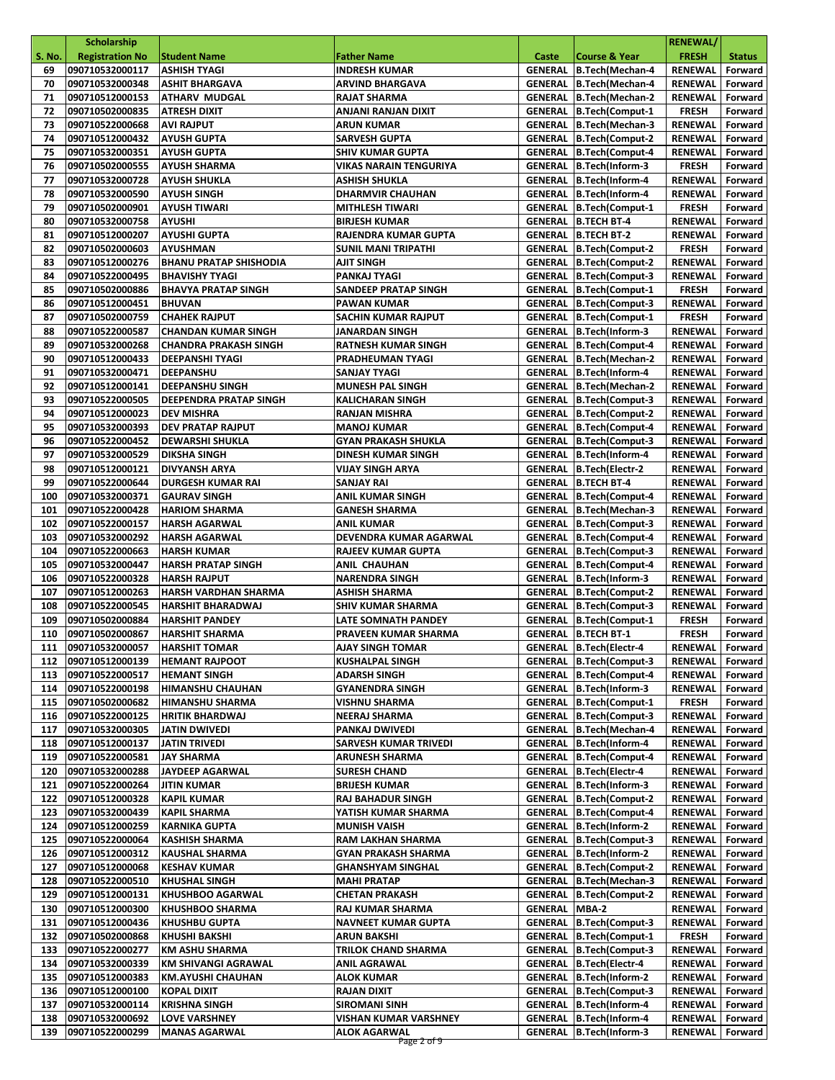|               | <b>Scholarship</b>                 |                                                  |                                                   |                        |                                                           | <b>RENEWAL/</b>                  |                    |
|---------------|------------------------------------|--------------------------------------------------|---------------------------------------------------|------------------------|-----------------------------------------------------------|----------------------------------|--------------------|
| <b>S. No.</b> | <b>Registration No</b>             | <b>Student Name</b>                              | <b>Father Name</b>                                | Caste                  | <b>Course &amp; Year</b>                                  | <b>FRESH</b>                     | <b>Status</b>      |
| 69            | 090710532000117                    | ASHISH TYAGI                                     | <b>INDRESH KUMAR</b>                              |                        | GENERAL B.Tech(Mechan-4                                   | <b>RENEWAL</b>                   | Forward            |
| 70            | 090710532000348                    | <b>ASHIT BHARGAVA</b>                            | <b>ARVIND BHARGAVA</b>                            |                        | GENERAL B.Tech(Mechan-4                                   | RENEWAL                          | Forward            |
| 71            | 090710512000153                    | <b>ATHARV MUDGAL</b>                             | <b>RAJAT SHARMA</b>                               |                        | GENERAL B.Tech(Mechan-2                                   | <b>RENEWAL</b>                   | Forward            |
| 72            | 090710502000835                    | <b>ATRESH DIXIT</b>                              | ANJANI RANJAN DIXIT                               |                        | GENERAL B.Tech(Comput-1                                   | <b>FRESH</b>                     | Forward            |
| 73            | 090710522000668                    | <b>AVI RAJPUT</b>                                | <b>ARUN KUMAR</b>                                 | <b>GENERAL</b>         | B.Tech(Mechan-3                                           | <b>RENEWAL</b>                   | Forward            |
| 74            | 090710512000432                    | <b>AYUSH GUPTA</b>                               | <b>SARVESH GUPTA</b>                              |                        | <b>GENERAL B.Tech(Comput-2</b>                            | RENEWAL                          | Forward            |
| 75            | 090710532000351                    | <b>AYUSH GUPTA</b>                               | <b>SHIV KUMAR GUPTA</b>                           |                        | <b>GENERAL B.Tech(Comput-4</b>                            | <b>RENEWAL</b>                   | Forward            |
| 76            | 090710502000555                    | <b>AYUSH SHARMA</b>                              | <b>VIKAS NARAIN TENGURIYA</b>                     | GENERAL                | B.Tech(Inform-3                                           | <b>FRESH</b>                     | Forward            |
| 77            | 090710532000728                    | <b>AYUSH SHUKLA</b>                              | <b>ASHISH SHUKLA</b>                              |                        | GENERAL B.Tech(Inform-4                                   | <b>RENEWAL</b>                   | Forward            |
| 78<br>79      | 090710532000590<br>090710502000901 | <b>AYUSH SINGH</b><br><b>AYUSH TIWARI</b>        | <b>DHARMVIR CHAUHAN</b><br><b>MITHLESH TIWARI</b> |                        | GENERAL B.Tech(Inform-4<br>GENERAL B.Tech(Comput-1        | <b>RENEWAL</b><br><b>FRESH</b>   | Forward<br>Forward |
| 80            | 090710532000758                    | <b>AYUSHI</b>                                    | <b>BIRJESH KUMAR</b>                              |                        | <b>GENERAL B.TECH BT-4</b>                                | <b>RENEWAL</b>                   | Forward            |
| 81            | 090710512000207                    | <b>AYUSHI GUPTA</b>                              | <b>RAJENDRA KUMAR GUPTA</b>                       |                        | <b>GENERAL B.TECH BT-2</b>                                | <b>RENEWAL</b>                   | Forward            |
| 82            | 090710502000603                    | <b>AYUSHMAN</b>                                  | <b>SUNIL MANI TRIPATHI</b>                        |                        | GENERAL   B.Tech(Comput-2                                 | <b>FRESH</b>                     | Forward            |
| 83            | 090710512000276                    | <b>BHANU PRATAP SHISHODIA</b>                    | AJIT SINGH                                        |                        | <b>GENERAL B.Tech(Comput-2</b>                            | RENEWAL                          | Forward            |
| 84            | 090710522000495                    | <b>BHAVISHY TYAGI</b>                            | PANKAJ TYAGI                                      |                        | <b>GENERAL B.Tech(Comput-3</b>                            | <b>RENEWAL</b>                   | Forward            |
| 85            | 090710502000886                    | <b>BHAVYA PRATAP SINGH</b>                       | <b>SANDEEP PRATAP SINGH</b>                       |                        | <b>GENERAL B.Tech(Comput-1</b>                            | <b>FRESH</b>                     | Forward            |
| 86            | 090710512000451                    | <b>BHUVAN</b>                                    | <b>PAWAN KUMAR</b>                                |                        | <b>GENERAL B.Tech(Comput-3</b>                            | <b>RENEWAL</b>                   | Forward            |
| 87            | 090710502000759                    | <b>CHAHEK RAJPUT</b>                             | SACHIN KUMAR RAJPUT                               | <b>GENERAL</b>         | B.Tech(Comput-1                                           | <b>FRESH</b>                     | Forward            |
| 88            | 090710522000587                    | <b>CHANDAN KUMAR SINGH</b>                       | JANARDAN SINGH                                    |                        | <b>GENERAL B.Tech(Inform-3</b>                            | <b>RENEWAL</b>                   | Forward            |
| 89            | 090710532000268                    | <b>CHANDRA PRAKASH SINGH</b>                     | <b>RATNESH KUMAR SINGH</b>                        |                        | <b>GENERAL B.Tech(Comput-4</b>                            | <b>RENEWAL</b>                   | Forward            |
| 90            | 090710512000433                    | <b>DEEPANSHI TYAGI</b>                           | PRADHEUMAN TYAGI                                  |                        | GENERAL B.Tech(Mechan-2                                   | <b>RENEWAL</b>                   | Forward            |
| 91            | 090710532000471                    | DEEPANSHU                                        | <b>SANJAY TYAGI</b>                               |                        | GENERAL B.Tech(Inform-4                                   | <b>RENEWAL</b>                   | Forward            |
| 92            | 090710512000141                    | <b>DEEPANSHU SINGH</b>                           | <b>MUNESH PAL SINGH</b>                           |                        | GENERAL B.Tech(Mechan-2                                   | RENEWAL                          | Forward            |
| 93            | 090710522000505                    | <b>DEEPENDRA PRATAP SINGH</b>                    | <b>KALICHARAN SINGH</b>                           |                        | <b>GENERAL B.Tech(Comput-3</b>                            | <b>RENEWAL</b>                   | Forward            |
| 94            | 090710512000023                    | <b>DEV MISHRA</b>                                | <b>RANJAN MISHRA</b>                              |                        | <b>GENERAL B.Tech(Comput-2</b>                            | <b>RENEWAL</b>                   | Forward            |
| 95            | 090710532000393                    | <b>DEV PRATAP RAJPUT</b>                         | <b>MANOJ KUMAR</b>                                |                        | GENERAL B.Tech(Comput-4                                   | <b>RENEWAL</b>                   | Forward            |
| 96            | 090710522000452                    | <b>DEWARSHI SHUKLA</b>                           | <b>GYAN PRAKASH SHUKLA</b>                        |                        | <b>GENERAL B.Tech(Comput-3</b>                            | RENEWAL                          | Forward            |
| 97            | 090710532000529                    | <b>DIKSHA SINGH</b>                              | <b>DINESH KUMAR SINGH</b>                         |                        | GENERAL B.Tech(Inform-4                                   | <b>RENEWAL</b>                   | Forward            |
| 98<br>99      | 090710512000121<br>090710522000644 | <b>DIVYANSH ARYA</b><br><b>DURGESH KUMAR RAI</b> | <b>VIJAY SINGH ARYA</b><br><b>SANJAY RAI</b>      |                        | GENERAL B.Tech(Electr-2<br><b>GENERAL B.TECH BT-4</b>     | <b>RENEWAL</b><br><b>RENEWAL</b> | Forward<br>Forward |
| 100           | 090710532000371                    | <b>GAURAV SINGH</b>                              | <b>ANIL KUMAR SINGH</b>                           |                        | GENERAL B.Tech(Comput-4                                   | RENEWAL                          | Forward            |
| 101           | 090710522000428                    | <b>HARIOM SHARMA</b>                             | <b>GANESH SHARMA</b>                              |                        | GENERAL B.Tech(Mechan-3                                   | RENEWAL                          | Forward            |
| 102           | 090710522000157                    | <b>HARSH AGARWAL</b>                             | <b>ANIL KUMAR</b>                                 |                        | <b>GENERAL B.Tech(Comput-3</b>                            | <b>RENEWAL</b>                   | Forward            |
| 103           | 090710532000292                    | <b>HARSH AGARWAL</b>                             | DEVENDRA KUMAR AGARWAL                            |                        | <b>GENERAL B.Tech(Comput-4</b>                            | RENEWAL                          | Forward            |
| 104           | 090710522000663                    | <b>HARSH KUMAR</b>                               | <b>RAJEEV KUMAR GUPTA</b>                         |                        | <b>GENERAL   B.Tech(Comput-3</b>                          | RENEWAL                          | Forward            |
| 105           | 090710532000447                    | <b>HARSH PRATAP SINGH</b>                        | <b>ANIL CHAUHAN</b>                               |                        | GENERAL B.Tech(Comput-4                                   | RENEWAL                          | Forward            |
| 106           | 090710522000328                    | <b>HARSH RAJPUT</b>                              | <b>NARENDRA SINGH</b>                             |                        | GENERAL B.Tech(Inform-3                                   | RENEWAL                          | Forward            |
| 107           | 090710512000263                    | HARSH VARDHAN SHARMA                             | <b>ASHISH SHARMA</b>                              |                        | GENERAL B.Tech(Comput-2                                   | RENEWAL                          | Forward            |
| 108           | 090710522000545                    | <b>HARSHIT BHARADWAJ</b>                         | <b>SHIV KUMAR SHARMA</b>                          |                        | <b>GENERAL B.Tech(Comput-3</b>                            | <b>RENEWAL</b>                   | Forward            |
| 109           | 090710502000884                    | <b>HARSHIT PANDEY</b>                            | LATE SOMNATH PANDEY                               |                        | <b>GENERAL B.Tech(Comput-1</b>                            | <b>FRESH</b>                     | Forward            |
| 110           | 090710502000867                    | <b>HARSHIT SHARMA</b>                            | PRAVEEN KUMAR SHARMA                              |                        | <b>GENERAL   B.TECH BT-1</b>                              | <b>FRESH</b>                     | Forward            |
|               | 111 090710532000057 HARSHIT TOMAR  |                                                  | <b>AJAY SINGH TOMAR</b>                           |                        | GENERAL B.Tech(Electr-4                                   | RENEWAL Forward                  |                    |
| 112           | 090710512000139                    | <b>HEMANT RAJPOOT</b>                            | <b>KUSHALPAL SINGH</b>                            |                        | GENERAL   B.Tech(Comput-3                                 | <b>RENEWAL</b>                   | Forward            |
| 113           | 090710522000517                    | <b>HEMANT SINGH</b>                              | <b>ADARSH SINGH</b>                               |                        | GENERAL B.Tech(Comput-4                                   | RENEWAL                          | Forward            |
| 114           | 090710522000198<br>090710502000682 | <b>HIMANSHU CHAUHAN</b>                          | <b>GYANENDRA SINGH</b>                            |                        | GENERAL B.Tech(Inform-3<br>GENERAL   B.Tech(Comput-1      | RENEWAL                          | Forward            |
| 115<br>116    | 090710522000125                    | <b>HIMANSHU SHARMA</b><br><b>HRITIK BHARDWAJ</b> | VISHNU SHARMA<br><b>NEERAJ SHARMA</b>             |                        | <b>GENERAL B.Tech(Comput-3</b>                            | <b>FRESH</b><br>RENEWAL          | Forward<br>Forward |
| 117           | 090710532000305                    | JATIN DWIVEDI                                    | PANKAJ DWIVEDI                                    |                        | GENERAL B.Tech(Mechan-4                                   | RENEWAL                          | Forward            |
| 118           | 090710512000137                    | JATIN TRIVEDI                                    | SARVESH KUMAR TRIVEDI                             |                        | GENERAL B.Tech(Inform-4                                   | <b>RENEWAL</b>                   | Forward            |
| 119           | 090710522000581                    | <b>JAY SHARMA</b>                                | <b>ARUNESH SHARMA</b>                             |                        | <b>GENERAL B.Tech(Comput-4</b>                            | RENEWAL                          | Forward            |
| 120           | 090710532000288                    | <b>JAYDEEP AGARWAL</b>                           | <b>SURESH CHAND</b>                               |                        | GENERAL   B.Tech (Electr-4                                | RENEWAL                          | Forward            |
| 121           | 090710522000264                    | <b>JITIN KUMAR</b>                               | <b>BRIJESH KUMAR</b>                              |                        | GENERAL B.Tech(Inform-3                                   | RENEWAL                          | Forward            |
| 122           | 090710512000328                    | <b>KAPIL KUMAR</b>                               | <b>RAJ BAHADUR SINGH</b>                          |                        | <b>GENERAL B.Tech(Comput-2</b>                            | RENEWAL                          | Forward            |
| 123           | 090710532000439                    | KAPIL SHARMA                                     | YATISH KUMAR SHARMA                               |                        | GENERAL B.Tech(Comput-4                                   | RENEWAL                          | Forward            |
| 124           | 090710512000259                    | <b>KARNIKA GUPTA</b>                             | <b>MUNISH VAISH</b>                               |                        | GENERAL B.Tech(Inform-2                                   | <b>RENEWAL</b>                   | Forward            |
| 125           | 090710522000064                    | <b>KASHISH SHARMA</b>                            | RAM LAKHAN SHARMA                                 |                        | <b>GENERAL B.Tech(Comput-3</b>                            | RENEWAL                          | Forward            |
| 126           | 090710512000312                    | KAUSHAL SHARMA                                   | GYAN PRAKASH SHARMA                               |                        | GENERAL B.Tech(Inform-2                                   | RENEWAL                          | Forward            |
| 127           | 090710512000068                    | <b>KESHAV KUMAR</b>                              | <b>GHANSHYAM SINGHAL</b>                          |                        | <b>GENERAL B.Tech(Comput-2</b>                            | <b>RENEWAL</b>                   | Forward            |
| 128           | 090710522000510                    | <b>KHUSHAL SINGH</b>                             | <b>MAHI PRATAP</b>                                |                        | GENERAL B.Tech(Mechan-3                                   | RENEWAL                          | Forward            |
| 129           | 090710512000131                    | <b>KHUSHBOO AGARWAL</b>                          | <b>CHETAN PRAKASH</b>                             |                        | GENERAL B.Tech(Comput-2                                   | RENEWAL                          | Forward            |
| 130           | 090710512000300                    | <b>KHUSHBOO SHARMA</b>                           | RAJ KUMAR SHARMA                                  | <b>GENERAL   MBA-2</b> |                                                           | RENEWAL                          | Forward            |
| 131           | 090710512000436                    | <b>KHUSHBU GUPTA</b>                             | <b>NAVNEET KUMAR GUPTA</b>                        |                        | <b>GENERAL B.Tech(Comput-3</b><br>GENERAL B.Tech(Comput-1 | RENEWAL                          | Forward            |
| 132<br>133    | 090710502000868<br>090710522000277 | <b>KHUSHI BAKSHI</b><br><b>KM ASHU SHARMA</b>    | ARUN BAKSHI<br>TRILOK CHAND SHARMA                |                        | <b>GENERAL B.Tech(Comput-3</b>                            | <b>FRESH</b><br><b>RENEWAL</b>   | Forward<br>Forward |
| 134           | 090710532000339                    | KM SHIVANGI AGRAWAL                              | ANIL AGRAWAL                                      |                        | GENERAL B.Tech(Electr-4                                   | <b>RENEWAL</b>                   | Forward            |
| 135           | 090710512000383                    | KM.AYUSHI CHAUHAN                                | ALOK KUMAR                                        |                        | GENERAL B.Tech(Inform-2                                   | RENEWAL                          | Forward            |
| 136           | 090710512000100                    | <b>KOPAL DIXIT</b>                               | RAJAN DIXIT                                       |                        | <b>GENERAL B.Tech(Comput-3</b>                            | RENEWAL                          | Forward            |
| 137           | 090710532000114                    | <b>KRISHNA SINGH</b>                             | <b>SIROMANI SINH</b>                              |                        | GENERAL B.Tech(Inform-4                                   | RENEWAL                          | Forward            |
| 138           | 090710532000692                    | <b>LOVE VARSHNEY</b>                             | VISHAN KUMAR VARSHNEY                             |                        | GENERAL B.Tech(Inform-4                                   | RENEWAL                          | Forward            |
| 139           | 090710522000299                    | <b>MANAS AGARWAL</b>                             | ALOK AGARWAL                                      |                        | GENERAL   B.Tech(Inform-3                                 | RENEWAL                          | Forward            |
|               |                                    |                                                  | Page 2 of 9                                       |                        |                                                           |                                  |                    |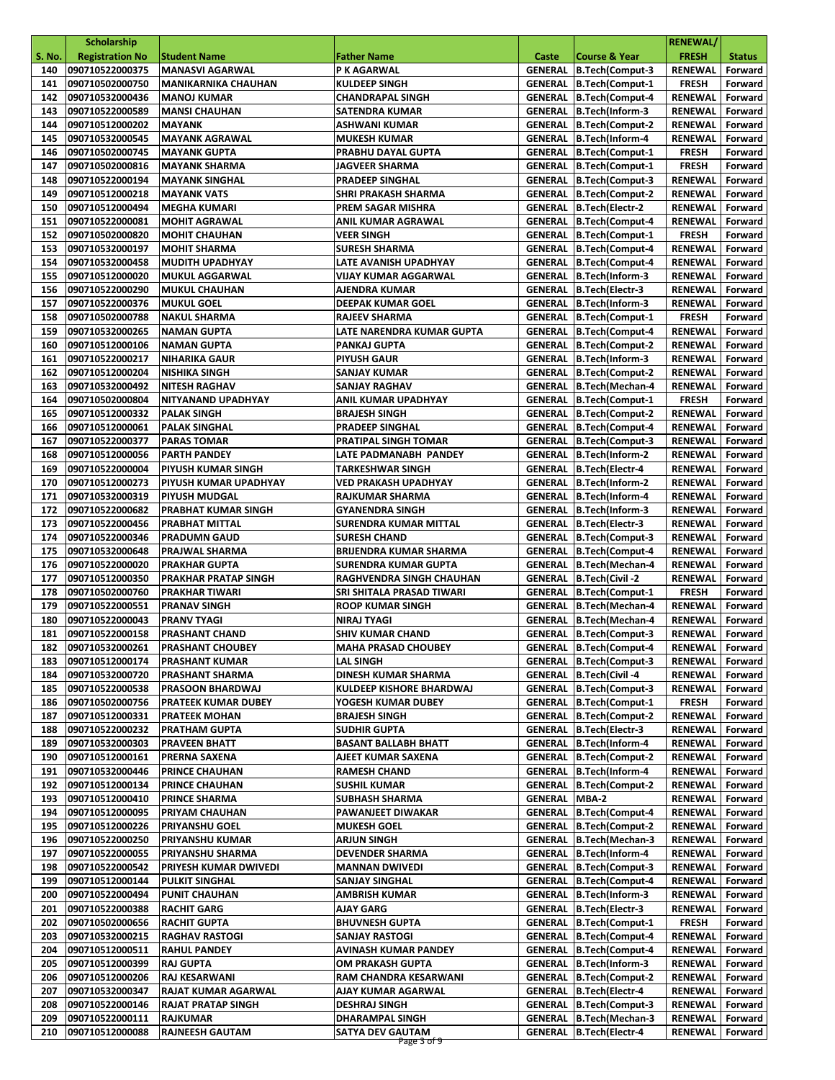|               | Scholarship            |                              |                                 |                |                                  | <b>RENEWAL/</b> |               |
|---------------|------------------------|------------------------------|---------------------------------|----------------|----------------------------------|-----------------|---------------|
| <b>S. No.</b> | <b>Registration No</b> | <b>Student Name</b>          | <b>Father Name</b>              | Caste          | <b>Course &amp; Year</b>         | <b>FRESH</b>    | <b>Status</b> |
| 140           | 090710522000375        | <b>MANASVI AGARWAL</b>       | P K AGARWAL                     | <b>GENERAL</b> | B.Tech(Comput-3                  | <b>RENEWAL</b>  | Forward       |
| 141           | 090710502000750        | <b>MANIKARNIKA CHAUHAN</b>   | <b>KULDEEP SINGH</b>            | <b>GENERAL</b> | <b>B.Tech(Comput-1</b>           | <b>FRESH</b>    | Forward       |
| 142           | 090710532000436        | <b>MANOJ KUMAR</b>           | <b>CHANDRAPAL SINGH</b>         |                | <b>GENERAL B.Tech(Comput-4</b>   | <b>RENEWAL</b>  | Forward       |
| 143           | 090710522000589        | <b>MANSI CHAUHAN</b>         | <b>SATENDRA KUMAR</b>           |                | GENERAL B.Tech(Inform-3          | RENEWAL         | Forward       |
| 144           | 090710512000202        | <b>MAYANK</b>                | ASHWANI KUMAR                   | <b>GENERAL</b> | <b>B.Tech(Comput-2</b>           | <b>RENEWAL</b>  | Forward       |
| 145           | 090710532000545        | <b>MAYANK AGRAWAL</b>        | <b>MUKESH KUMAR</b>             | <b>GENERAL</b> | B.Tech(Inform-4                  | <b>RENEWAL</b>  | Forward       |
| 146           | 090710502000745        | <b>MAYANK GUPTA</b>          | PRABHU DAYAL GUPTA              | GENERAL        | B.Tech(Comput-1                  | <b>FRESH</b>    | Forward       |
| 147           | 090710502000816        | <b>MAYANK SHARMA</b>         | JAGVEER SHARMA                  | GENERAL        | B.Tech(Comput-1                  | <b>FRESH</b>    | Forward       |
| 148           | 090710522000194        | <b>MAYANK SINGHAL</b>        | <b>PRADEEP SINGHAL</b>          |                | <b>GENERAL B.Tech(Comput-3</b>   | <b>RENEWAL</b>  | Forward       |
| 149           | 090710512000218        | <b>MAYANK VATS</b>           | SHRI PRAKASH SHARMA             |                | GENERAL B.Tech(Comput-2          | <b>RENEWAL</b>  | Forward       |
| 150           | 090710512000494        | MEGHA KUMARI                 | PREM SAGAR MISHRA               |                | GENERAL   B.Tech(Electr-2        | <b>RENEWAL</b>  | Forward       |
| 151           | 090710522000081        | <b>MOHIT AGRAWAL</b>         | ANIL KUMAR AGRAWAL              |                | <b>GENERAL B.Tech(Comput-4</b>   | <b>RENEWAL</b>  | Forward       |
| 152           | 090710502000820        | <b>MOHIT CHAUHAN</b>         | <b>VEER SINGH</b>               | <b>GENERAL</b> | B.Tech(Comput-1                  | <b>FRESH</b>    | Forward       |
| 153           | 090710532000197        | <b>MOHIT SHARMA</b>          | <b>SURESH SHARMA</b>            |                | GENERAL   B.Tech(Comput-4        | <b>RENEWAL</b>  | Forward       |
| 154           | 090710532000458        | <b>MUDITH UPADHYAY</b>       | LATE AVANISH UPADHYAY           |                | GENERAL B.Tech(Comput-4          | <b>RENEWAL</b>  | Forward       |
| 155           | 090710512000020        | <b>MUKUL AGGARWAL</b>        | <b>VIJAY KUMAR AGGARWAL</b>     | <b>GENERAL</b> | B.Tech(Inform-3                  | <b>RENEWAL</b>  | Forward       |
| 156           | 090710522000290        | <b>MUKUL CHAUHAN</b>         | AJENDRA KUMAR                   |                | GENERAL   B.Tech(Electr-3        | <b>RENEWAL</b>  | Forward       |
| 157           | 090710522000376        | <b>MUKUL GOEL</b>            | <b>DEEPAK KUMAR GOEL</b>        |                | GENERAL B.Tech(Inform-3          | RENEWAL         | Forward       |
| 158           | 090710502000788        | <b>NAKUL SHARMA</b>          | <b>RAJEEV SHARMA</b>            | <b>GENERAL</b> | B.Tech(Comput-1                  | <b>FRESH</b>    | Forward       |
| 159           | 090710532000265        | <b>NAMAN GUPTA</b>           | LATE NARENDRA KUMAR GUPTA       | <b>GENERAL</b> | B.Tech(Comput-4                  | <b>RENEWAL</b>  | Forward       |
| 160           | 090710512000106        | <b>NAMAN GUPTA</b>           | PANKAJ GUPTA                    |                | <b>GENERAL B.Tech(Comput-2</b>   | RENEWAL         | Forward       |
| 161           | 090710522000217        | <b>NIHARIKA GAUR</b>         | <b>PIYUSH GAUR</b>              |                | GENERAL B.Tech(Inform-3          | RENEWAL         | Forward       |
| 162           | 090710512000204        | <b>NISHIKA SINGH</b>         | <b>SANJAY KUMAR</b>             | <b>GENERAL</b> | B.Tech(Comput-2                  | <b>RENEWAL</b>  | Forward       |
| 163           | 090710532000492        | <b>NITESH RAGHAV</b>         | <b>SANJAY RAGHAV</b>            |                | GENERAL B.Tech(Mechan-4          | <b>RENEWAL</b>  | Forward       |
| 164           | 090710502000804        | NITYANAND UPADHYAY           | ANIL KUMAR UPADHYAY             | <b>GENERAL</b> | B.Tech(Comput-1                  | <b>FRESH</b>    | Forward       |
| 165           | 090710512000332        | <b>PALAK SINGH</b>           | <b>BRAJESH SINGH</b>            | <b>GENERAL</b> | B.Tech(Comput-2                  | <b>RENEWAL</b>  | Forward       |
| 166           | 090710512000061        | <b>PALAK SINGHAL</b>         | <b>PRADEEP SINGHAL</b>          | <b>GENERAL</b> | B.Tech(Comput-4                  | <b>RENEWAL</b>  | Forward       |
| 167           | 090710522000377        | <b>PARAS TOMAR</b>           | <b>PRATIPAL SINGH TOMAR</b>     |                | <b>GENERAL B.Tech(Comput-3</b>   | RENEWAL         | Forward       |
| 168           | 090710512000056        | <b>PARTH PANDEY</b>          | LATE PADMANABH PANDEY           |                | GENERAL B.Tech(Inform-2          | <b>RENEWAL</b>  | Forward       |
| 169           | 090710522000004        | PIYUSH KUMAR SINGH           | TARKESHWAR SINGH                |                | GENERAL   B.Tech (Electr-4       | <b>RENEWAL</b>  | Forward       |
| 170           | 090710512000273        | PIYUSH KUMAR UPADHYAY        | VED PRAKASH UPADHYAY            | <b>GENERAL</b> | B.Tech(Inform-2                  | <b>RENEWAL</b>  | Forward       |
| 171           | 090710532000319        | <b>PIYUSH MUDGAL</b>         | RAJKUMAR SHARMA                 | <b>GENERAL</b> | B.Tech(Inform-4                  | <b>RENEWAL</b>  | Forward       |
| 172           | 090710522000682        | PRABHAT KUMAR SINGH          | <b>GYANENDRA SINGH</b>          |                | GENERAL B.Tech(Inform-3          | <b>RENEWAL</b>  | Forward       |
| 173           | 090710522000456        | <b>PRABHAT MITTAL</b>        | SURENDRA KUMAR MITTAL           |                | GENERAL   B.Tech(Electr-3        | RENEWAL         | Forward       |
| 174           | 090710522000346        | <b>PRADUMN GAUD</b>          | <b>SURESH CHAND</b>             | <b>GENERAL</b> | B.Tech(Comput-3                  | <b>RENEWAL</b>  | Forward       |
| 175           | 090710532000648        | PRAJWAL SHARMA               | <b>BRIJENDRA KUMAR SHARMA</b>   |                | GENERAL   B.Tech(Comput-4        | RENEWAL         | Forward       |
| 176           | 090710522000020        | <b>PRAKHAR GUPTA</b>         | <b>SURENDRA KUMAR GUPTA</b>     |                | GENERAL B.Tech(Mechan-4          | <b>RENEWAL</b>  | Forward       |
| 177           | 090710512000350        | <b>PRAKHAR PRATAP SINGH</b>  | RAGHVENDRA SINGH CHAUHAN        | <b>GENERAL</b> | B.Tech(Civil-2                   | <b>RENEWAL</b>  | Forward       |
| 178           | 090710502000760        | <b>PRAKHAR TIWARI</b>        | SRI SHITALA PRASAD TIWARI       |                | <b>GENERAL B.Tech(Comput-1</b>   | <b>FRESH</b>    | Forward       |
| 179           | 090710522000551        | <b>PRANAV SINGH</b>          | <b>ROOP KUMAR SINGH</b>         |                | GENERAL B.Tech(Mechan-4          | <b>RENEWAL</b>  | Forward       |
| 180           | 090710522000043        | <b>PRANV TYAGI</b>           | NIRAJ TYAGI                     | <b>GENERAL</b> | B.Tech(Mechan-4                  | <b>RENEWAL</b>  | Forward       |
| 181           | 090710522000158        | <b>PRASHANT CHAND</b>        | <b>SHIV KUMAR CHAND</b>         |                | <b>GENERAL B.Tech(Comput-3</b>   | <b>RENEWAL</b>  | Forward       |
|               | 182 090710532000261    | <b>PRASHANT CHOUBEY</b>      | <b>MAHA PRASAD CHOUBEY</b>      |                | GENERAL B.Tech(Comput-4          | RENEWAL Forward |               |
| 183           | 090710512000174        | <b>PRASHANT KUMAR</b>        | <b>LAL SINGH</b>                |                | <b>GENERAL   B.Tech(Comput-3</b> | RENEWAL         | Forward       |
| 184           | 090710532000720        | <b>PRASHANT SHARMA</b>       | DINESH KUMAR SHARMA             |                | GENERAL B.Tech(Civil-4           | RENEWAL         | Forward       |
| 185           | 090710522000538        | <b>PRASOON BHARDWAJ</b>      | <b>KULDEEP KISHORE BHARDWAJ</b> |                | <b>GENERAL B.Tech(Comput-3</b>   | RENEWAL         | Forward       |
| 186           | 090710502000756        | <b>PRATEEK KUMAR DUBEY</b>   | YOGESH KUMAR DUBEY              |                | <b>GENERAL B.Tech(Comput-1</b>   | <b>FRESH</b>    | Forward       |
| 187           | 090710512000331        | <b>PRATEEK MOHAN</b>         | <b>BRAJESH SINGH</b>            | <b>GENERAL</b> | B.Tech(Comput-2                  | <b>RENEWAL</b>  | Forward       |
| 188           | 090710522000232        | <b>PRATHAM GUPTA</b>         | <b>SUDHIR GUPTA</b>             |                | GENERAL   B.Tech(Electr-3        | RENEWAL         | Forward       |
| 189           | 090710532000303        | <b>PRAVEEN BHATT</b>         | <b>BASANT BALLABH BHATT</b>     |                | GENERAL B.Tech(Inform-4          | RENEWAL         | Forward       |
| 190           | 090710512000161        | <b>PRERNA SAXENA</b>         | AJEET KUMAR SAXENA              | GENERAL        | B.Tech(Comput-2                  | RENEWAL         | Forward       |
| 191           | 090710532000446        | <b>PRINCE CHAUHAN</b>        | <b>RAMESH CHAND</b>             | GENERAL        | B.Tech(Inform-4                  | <b>RENEWAL</b>  | Forward       |
| 192           | 090710512000134        | <b>PRINCE CHAUHAN</b>        | <b>SUSHIL KUMAR</b>             | GENERAL        | B.Tech(Comput-2                  | RENEWAL         | Forward       |
| 193           | 090710512000410        | <b>PRINCE SHARMA</b>         | SUBHASH SHARMA                  | <b>GENERAL</b> | MBA-2                            | <b>RENEWAL</b>  | Forward       |
| 194           | 090710512000095        | PRIYAM CHAUHAN               | PAWANJEET DIWAKAR               | <b>GENERAL</b> | <b>B.Tech(Comput-4</b>           | RENEWAL         | Forward       |
| 195           | 090710512000226        | <b>PRIYANSHU GOEL</b>        | <b>MUKESH GOEL</b>              |                | <b>GENERAL B.Tech(Comput-2</b>   | RENEWAL         | Forward       |
| 196           | 090710522000250        | <b>PRIYANSHU KUMAR</b>       | <b>ARJUN SINGH</b>              | GENERAL        | B.Tech(Mechan-3                  | RENEWAL         | Forward       |
| 197           | 090710522000055        | PRIYANSHU SHARMA             | DEVENDER SHARMA                 |                | GENERAL B.Tech(Inform-4          | RENEWAL         | Forward       |
| 198           | 090710522000542        | <b>PRIYESH KUMAR DWIVEDI</b> | <b>MANNAN DWIVEDI</b>           |                | <b>GENERAL B.Tech(Comput-3</b>   | RENEWAL         | Forward       |
| 199           | 090710512000144        | <b>PULKIT SINGHAL</b>        | <b>SANJAY SINGHAL</b>           | GENERAL        | B.Tech(Comput-4                  | RENEWAL         | Forward       |
| 200           | 090710522000494        | <b>PUNIT CHAUHAN</b>         | <b>AMBRISH KUMAR</b>            |                | GENERAL B.Tech(Inform-3          | RENEWAL         | Forward       |
| 201           | 090710522000388        | <b>RACHIT GARG</b>           | AJAY GARG                       |                | GENERAL B.Tech(Electr-3          | <b>RENEWAL</b>  | Forward       |
| 202           | 090710502000656        | <b>RACHIT GUPTA</b>          | <b>BHUVNESH GUPTA</b>           | <b>GENERAL</b> | B.Tech(Comput-1                  | <b>FRESH</b>    | Forward       |
| 203           | 090710532000215        | <b>RAGHAV RASTOGI</b>        | <b>SANJAY RASTOGI</b>           | GENERAL        | B.Tech(Comput-4                  | <b>RENEWAL</b>  | Forward       |
| 204           | 090710512000511        | <b>RAHUL PANDEY</b>          | AVINASH KUMAR PANDEY            |                | GENERAL B.Tech(Comput-4          | <b>RENEWAL</b>  | Forward       |
| 205           | 090710512000399        | <b>RAJ GUPTA</b>             | OM PRAKASH GUPTA                | <b>GENERAL</b> | B.Tech(Inform-3                  | RENEWAL         | Forward       |
| 206           | 090710512000206        | <b>RAJ KESARWANI</b>         | RAM CHANDRA KESARWANI           |                | <b>GENERAL B.Tech(Comput-2</b>   | RENEWAL         | Forward       |
| 207           | 090710532000347        | RAJAT KUMAR AGARWAL          | AJAY KUMAR AGARWAL              |                | GENERAL B.Tech(Electr-4          | RENEWAL         | Forward       |
| 208           | 090710522000146        | <b>RAJAT PRATAP SINGH</b>    | <b>DESHRAJ SINGH</b>            |                | <b>GENERAL B.Tech(Comput-3</b>   | RENEWAL         | Forward       |
| 209           | 090710522000111        | <b>RAJKUMAR</b>              | <b>DHARAMPAL SINGH</b>          | <b>GENERAL</b> | B.Tech(Mechan-3                  | <b>RENEWAL</b>  | Forward       |
| 210           | 090710512000088        | <b>RAJNEESH GAUTAM</b>       | SATYA DEV GAUTAM<br>Page 3 of 9 |                | GENERAL B.Tech(Electr-4          | RENEWAL         | Forward       |
|               |                        |                              |                                 |                |                                  |                 |               |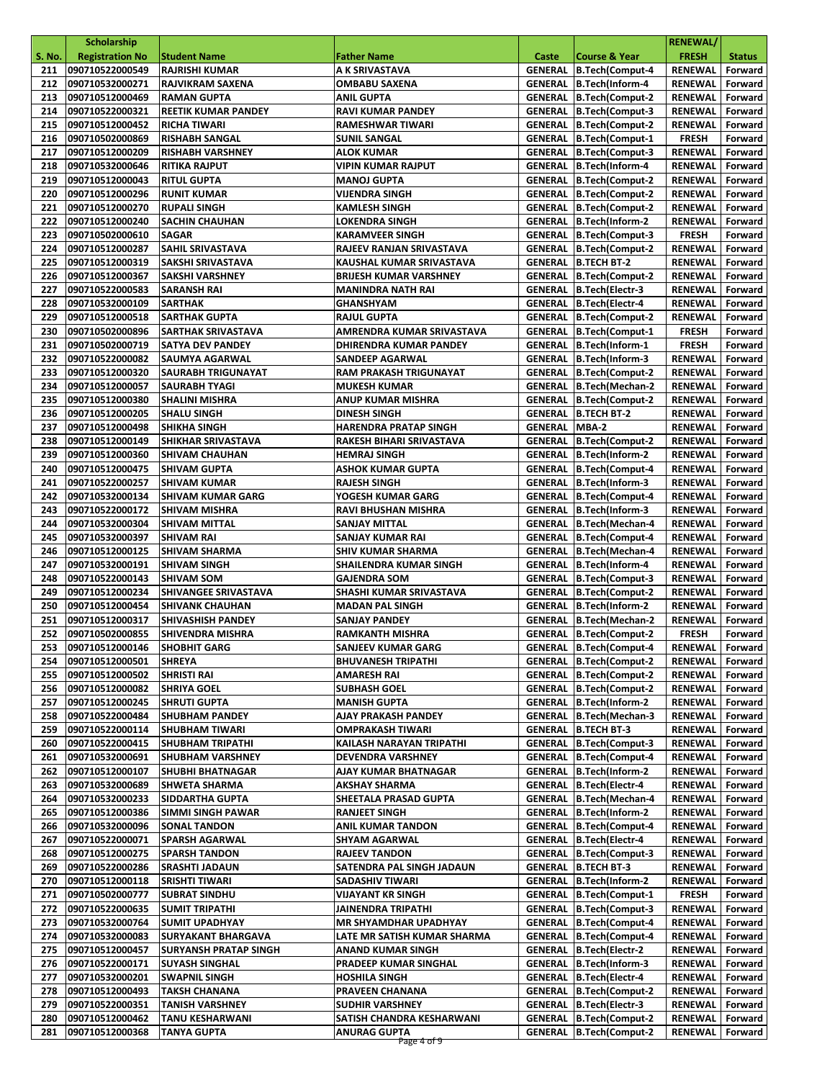|               | Scholarship                        |                                                    |                                                 |                      |                                                                    | <b>RENEWAL/</b>           |                    |
|---------------|------------------------------------|----------------------------------------------------|-------------------------------------------------|----------------------|--------------------------------------------------------------------|---------------------------|--------------------|
| <b>S. No.</b> | <b>Registration No</b>             | <b>Student Name</b>                                | <b>Father Name</b>                              | Caste                | <b>Course &amp; Year</b>                                           | <b>FRESH</b>              | <b>Status</b>      |
| 211           | 090710522000549                    | <b>RAJRISHI KUMAR</b>                              | A K SRIVASTAVA                                  | <b>GENERAL</b>       | B.Tech(Comput-4                                                    | <b>RENEWAL</b>            | Forward            |
| 212           | 090710532000271                    | RAJVIKRAM SAXENA                                   | <b>OMBABU SAXENA</b>                            |                      | GENERAL B.Tech(Inform-4                                            | <b>RENEWAL</b>            | Forward            |
| 213           | 090710512000469                    | <b>RAMAN GUPTA</b>                                 | <b>ANIL GUPTA</b>                               |                      | <b>GENERAL B.Tech(Comput-2</b>                                     | RENEWAL                   | Forward            |
| 214           | 090710522000321                    | <b>REETIK KUMAR PANDEY</b>                         | <b>RAVI KUMAR PANDEY</b>                        | <b>GENERAL</b>       | B.Tech(Comput-3                                                    | <b>RENEWAL</b>            | Forward            |
| 215           | 090710512000452                    | RICHA TIWARI                                       | <b>RAMESHWAR TIWARI</b>                         | <b>GENERAL</b>       | <b>B.Tech(Comput-2</b>                                             | <b>RENEWAL</b>            | Forward            |
| 216           | 090710502000869                    | <b>RISHABH SANGAL</b>                              | <b>SUNIL SANGAL</b>                             | <b>GENERAL</b>       | B.Tech(Comput-1                                                    | <b>FRESH</b>              | Forward            |
| 217           | 090710512000209                    | <b>RISHABH VARSHNEY</b>                            | ALOK KUMAR                                      | <b>GENERAL</b>       | B.Tech(Comput-3                                                    | <b>RENEWAL</b>            | Forward            |
| 218           | 090710532000646                    | RITIKA RAJPUT                                      | <b>VIPIN KUMAR RAJPUT</b>                       | <b>GENERAL</b>       | B.Tech(Inform-4                                                    | <b>RENEWAL</b>            | Forward            |
| 219           | 090710512000043                    | <b>RITUL GUPTA</b>                                 | <b>MANOJ GUPTA</b>                              |                      | <b>GENERAL B.Tech(Comput-2</b>                                     | RENEWAL                   | Forward            |
| 220<br>221    | 090710512000296<br>090710512000270 | <b>RUNIT KUMAR</b><br><b>RUPALI SINGH</b>          | VIJENDRA SINGH<br>KAMLESH SINGH                 |                      | <b>GENERAL B.Tech(Comput-2</b><br><b>GENERAL   B.Tech(Comput-2</b> | RENEWAL<br><b>RENEWAL</b> | Forward<br>Forward |
| 222           | 090710512000240                    | <b>SACHIN CHAUHAN</b>                              | <b>LOKENDRA SINGH</b>                           |                      | GENERAL B.Tech(Inform-2                                            | <b>RENEWAL</b>            | Forward            |
| 223           | 090710502000610                    | <b>SAGAR</b>                                       | <b>KARAMVEER SINGH</b>                          |                      | <b>GENERAL B.Tech(Comput-3</b>                                     | <b>FRESH</b>              | Forward            |
| 224           | 090710512000287                    | <b>SAHIL SRIVASTAVA</b>                            | RAJEEV RANJAN SRIVASTAVA                        |                      | GENERAL B.Tech(Comput-2                                            | <b>RENEWAL</b>            | Forward            |
| 225           | 090710512000319                    | SAKSHI SRIVASTAVA                                  | KAUSHAL KUMAR SRIVASTAVA                        |                      | <b>GENERAL   B.TECH BT-2</b>                                       | RENEWAL                   | Forward            |
| 226           | 090710512000367                    | <b>SAKSHI VARSHNEY</b>                             | <b>BRIJESH KUMAR VARSHNEY</b>                   |                      | <b>GENERAL B.Tech(Comput-2</b>                                     | <b>RENEWAL</b>            | Forward            |
| 227           | 090710522000583                    | <b>SARANSH RAI</b>                                 | <b>MANINDRA NATH RAI</b>                        |                      | GENERAL B.Tech(Electr-3                                            | RENEWAL                   | Forward            |
| 228           | 090710532000109                    | <b>SARTHAK</b>                                     | GHANSHYAM                                       |                      | GENERAL B.Tech(Electr-4                                            | <b>RENEWAL</b>            | Forward            |
| 229           | 090710512000518                    | <b>SARTHAK GUPTA</b>                               | <b>RAJUL GUPTA</b>                              | <b>GENERAL</b>       | <b>B.Tech(Comput-2</b>                                             | <b>RENEWAL</b>            | Forward            |
| 230           | 090710502000896                    | <b>SARTHAK SRIVASTAVA</b>                          | AMRENDRA KUMAR SRIVASTAVA                       |                      | <b>GENERAL B.Tech(Comput-1</b>                                     | <b>FRESH</b>              | Forward            |
| 231           | 090710502000719                    | <b>SATYA DEV PANDEY</b>                            | DHIRENDRA KUMAR PANDEY                          |                      | GENERAL B.Tech(Inform-1                                            | <b>FRESH</b>              | Forward            |
| 232           | 090710522000082                    | <b>SAUMYA AGARWAL</b>                              | SANDEEP AGARWAL                                 | <b>GENERAL</b>       | B.Tech(Inform-3                                                    | <b>RENEWAL</b>            | Forward            |
| 233           | 090710512000320                    | <b>SAURABH TRIGUNAYAT</b>                          | RAM PRAKASH TRIGUNAYAT                          |                      | <b>GENERAL B.Tech(Comput-2</b>                                     | RENEWAL                   | Forward            |
| 234           | 090710512000057                    | <b>SAURABH TYAGI</b>                               | <b>MUKESH KUMAR</b>                             |                      | GENERAL B.Tech(Mechan-2                                            | RENEWAL                   | Forward            |
| 235           | 090710512000380                    | <b>SHALINI MISHRA</b>                              | <b>ANUP KUMAR MISHRA</b>                        |                      | <b>GENERAL   B.Tech(Comput-2</b>                                   | <b>RENEWAL</b>            | Forward            |
| 236           | 090710512000205                    | <b>SHALU SINGH</b>                                 | <b>DINESH SINGH</b>                             | <b>GENERAL</b>       | <b>B.TECH BT-2</b>                                                 | <b>RENEWAL</b>            | Forward            |
| 237           | 090710512000498                    | <b>SHIKHA SINGH</b>                                | <b>HARENDRA PRATAP SINGH</b>                    | <b>GENERAL MBA-2</b> |                                                                    | RENEWAL                   | Forward            |
| 238<br>239    | 090710512000149<br>090710512000360 | <b>SHIKHAR SRIVASTAVA</b><br><b>SHIVAM CHAUHAN</b> | RAKESH BIHARI SRIVASTAVA<br><b>HEMRAJ SINGH</b> | <b>GENERAL</b>       | <b>GENERAL B.Tech(Comput-2</b><br>B.Tech(Inform-2                  | RENEWAL<br><b>RENEWAL</b> | Forward<br>Forward |
| 240           | 090710512000475                    | <b>SHIVAM GUPTA</b>                                | <b>ASHOK KUMAR GUPTA</b>                        | <b>GENERAL</b>       | B.Tech(Comput-4                                                    | <b>RENEWAL</b>            | Forward            |
| 241           | 090710522000257                    | <b>SHIVAM KUMAR</b>                                | <b>RAJESH SINGH</b>                             |                      | GENERAL B.Tech(Inform-3                                            | RENEWAL                   | Forward            |
| 242           | 090710532000134                    | <b>SHIVAM KUMAR GARG</b>                           | YOGESH KUMAR GARG                               |                      | <b>GENERAL B.Tech(Comput-4</b>                                     | <b>RENEWAL</b>            | Forward            |
| 243           | 090710522000172                    | <b>SHIVAM MISHRA</b>                               | RAVI BHUSHAN MISHRA                             | <b>GENERAL</b>       | B.Tech(Inform-3                                                    | RENEWAL                   | Forward            |
| 244           | 090710532000304                    | <b>SHIVAM MITTAL</b>                               | <b>SANJAY MITTAL</b>                            |                      | GENERAL B.Tech(Mechan-4                                            | RENEWAL                   | Forward            |
| 245           | 090710532000397                    | <b>SHIVAM RAI</b>                                  | SANJAY KUMAR RAI                                |                      | <b>GENERAL B.Tech(Comput-4</b>                                     | RENEWAL                   | Forward            |
| 246           | 090710512000125                    | SHIVAM SHARMA                                      | SHIV KUMAR SHARMA                               |                      | GENERAL B.Tech(Mechan-4                                            | RENEWAL                   | Forward            |
| 247           | 090710532000191                    | SHIVAM SINGH                                       | SHAILENDRA KUMAR SINGH                          |                      | GENERAL B.Tech(Inform-4                                            | RENEWAL                   | Forward            |
| 248           | 090710522000143                    | <b>SHIVAM SOM</b>                                  | <b>GAJENDRA SOM</b>                             |                      | <b>GENERAL B.Tech(Comput-3</b>                                     | RENEWAL                   | Forward            |
| 249           | 090710512000234                    | SHIVANGEE SRIVASTAVA                               | SHASHI KUMAR SRIVASTAVA                         |                      | GENERAL   B.Tech(Comput-2                                          | <b>RENEWAL</b>            | Forward            |
| 250           | 090710512000454                    | <b>SHIVANK CHAUHAN</b>                             | <b>MADAN PAL SINGH</b>                          |                      | GENERAL B.Tech(Inform-2                                            | <b>RENEWAL</b>            | Forward            |
| 251           | 090710512000317                    | <b>SHIVASHISH PANDEY</b>                           | <b>SANJAY PANDEY</b>                            |                      | GENERAL B.Tech(Mechan-2                                            | <b>RENEWAL</b>            | Forward            |
| 252           | 090710502000855                    | SHIVENDRA MISHRA                                   | <b>RAMKANTH MISHRA</b>                          |                      | <b>GENERAL B.Tech(Comput-2</b>                                     | <b>FRESH</b>              | Forward            |
|               | 253 090710512000146 SHOBHIT GARG   |                                                    | SANJEEV KUMAR GARG                              |                      | GENERAL B.Tech(Comput-4                                            | RENEWAL Forward           |                    |
| 254           | 090710512000501<br>090710512000502 | <b>SHREYA</b>                                      | <b>BHUVANESH TRIPATHI</b>                       |                      | <b>GENERAL B.Tech(Comput-2</b><br><b>GENERAL B.Tech(Comput-2</b>   | RENEWAL<br>RENEWAL        | Forward<br>Forward |
| 255<br>256    | 090710512000082                    | <b>SHRISTI RAI</b><br><b>SHRIYA GOEL</b>           | AMARESH RAI<br><b>SUBHASH GOEL</b>              |                      | GENERAL B.Tech(Comput-2                                            | <b>RENEWAL</b>            | Forward            |
| 257           | 090710512000245                    | <b>SHRUTI GUPTA</b>                                | <b>MANISH GUPTA</b>                             |                      | GENERAL B.Tech(Inform-2                                            | RENEWAL                   | Forward            |
| 258           | 090710522000484                    | <b>SHUBHAM PANDEY</b>                              | AJAY PRAKASH PANDEY                             |                      | GENERAL B.Tech(Mechan-3                                            | RENEWAL                   | Forward            |
| 259           | 090710522000114                    | <b>SHUBHAM TIWARI</b>                              | OMPRAKASH TIWARI                                |                      | <b>GENERAL   B.TECH BT-3</b>                                       | RENEWAL                   | Forward            |
| 260           | 090710522000415                    | SHUBHAM TRIPATHI                                   | KAILASH NARAYAN TRIPATHI                        |                      | GENERAL B.Tech(Comput-3                                            | RENEWAL                   | Forward            |
| 261           | 090710532000691                    | <b>SHUBHAM VARSHNEY</b>                            | <b>DEVENDRA VARSHNEY</b>                        |                      | GENERAL B.Tech(Comput-4                                            | RENEWAL                   | Forward            |
| 262           | 090710512000107                    | <b>SHUBHI BHATNAGAR</b>                            | AJAY KUMAR BHATNAGAR                            |                      | GENERAL B.Tech(Inform-2                                            | RENEWAL                   | Forward            |
| 263           | 090710532000689                    | <b>SHWETA SHARMA</b>                               | <b>AKSHAY SHARMA</b>                            |                      | GENERAL   B.Tech (Electr-4                                         | RENEWAL                   | Forward            |
| 264           | 090710532000233                    | <b>SIDDARTHA GUPTA</b>                             | SHEETALA PRASAD GUPTA                           |                      | GENERAL B.Tech(Mechan-4                                            | RENEWAL                   | Forward            |
| 265           | 090710512000386                    | <b>SIMMI SINGH PAWAR</b>                           | <b>RANJEET SINGH</b>                            | <b>GENERAL</b>       | B.Tech(Inform-2                                                    | RENEWAL                   | Forward            |
| 266           | 090710532000096                    | <b>SONAL TANDON</b>                                | <b>ANIL KUMAR TANDON</b>                        |                      | GENERAL B.Tech(Comput-4                                            | RENEWAL                   | Forward            |
| 267           | 090710522000071                    | <b>SPARSH AGARWAL</b>                              | <b>SHYAM AGARWAL</b>                            |                      | GENERAL   B.Tech (Electr-4                                         | RENEWAL                   | Forward            |
| 268           | 090710512000275                    | <b>SPARSH TANDON</b>                               | <b>RAJEEV TANDON</b>                            |                      | GENERAL   B.Tech(Comput-3                                          | RENEWAL                   | Forward            |
| 269<br>270    | 090710522000286<br>090710512000118 | SRASHTI JADAUN<br><b>SRISHTI TIWARI</b>            | SATENDRA PAL SINGH JADAUN<br>SADASHIV TIWARI    |                      | <b>GENERAL   B.TECH BT-3</b><br>GENERAL B.Tech(Inform-2            | RENEWAL<br>RENEWAL        | Forward<br>Forward |
| 271           | 090710502000777                    | <b>SUBRAT SINDHU</b>                               | <b>VIJAYANT KR SINGH</b>                        |                      | GENERAL B.Tech(Comput-1                                            | <b>FRESH</b>              | Forward            |
| 272           | 090710522000635                    | SUMIT TRIPATHI                                     | JAINENDRA TRIPATHI                              |                      | <b>GENERAL B.Tech(Comput-3</b>                                     | RENEWAL                   | Forward            |
| 273           | 090710532000764                    | SUMIT UPADHYAY                                     | <b>MR SHYAMDHAR UPADHYAY</b>                    |                      | GENERAL B.Tech(Comput-4                                            | RENEWAL                   | Forward            |
| 274           | 090710532000083                    | SURYAKANT BHARGAVA                                 | LATE MR SATISH KUMAR SHARMA                     |                      | GENERAL   B.Tech(Comput-4                                          | RENEWAL                   | Forward            |
| 275           | 090710512000457                    | SURYANSH PRATAP SINGH                              | <b>ANAND KUMAR SINGH</b>                        |                      | GENERAL   B.Tech (Electr-2                                         | RENEWAL                   | Forward            |
| 276           | 090710522000171                    | <b>SUYASH SINGHAL</b>                              | PRADEEP KUMAR SINGHAL                           |                      | GENERAL B.Tech(Inform-3                                            | RENEWAL                   | Forward            |
| 277           | 090710532000201                    | <b>SWAPNIL SINGH</b>                               | <b>HOSHILA SINGH</b>                            |                      | GENERAL   B.Tech (Electr-4                                         | RENEWAL                   | Forward            |
| 278           | 090710512000493                    | <b>TAKSH CHANANA</b>                               | PRAVEEN CHANANA                                 |                      | GENERAL B.Tech(Comput-2                                            | RENEWAL                   | Forward            |
| 279           | 090710522000351                    | <b>TANISH VARSHNEY</b>                             | <b>SUDHIR VARSHNEY</b>                          | <b>GENERAL</b>       | B.Tech(Electr-3                                                    | RENEWAL                   | Forward            |
| 280           | 090710512000462                    | TANU KESHARWANI                                    | SATISH CHANDRA KESHARWANI                       | GENERAL              | B.Tech(Comput-2                                                    | RENEWAL                   | Forward            |
| 281           | 090710512000368                    | <b>TANYA GUPTA</b>                                 | <b>ANURAG GUPTA</b><br>Page 4 of 9              |                      | GENERAL B.Tech(Comput-2                                            | RENEWAL                   | Forward            |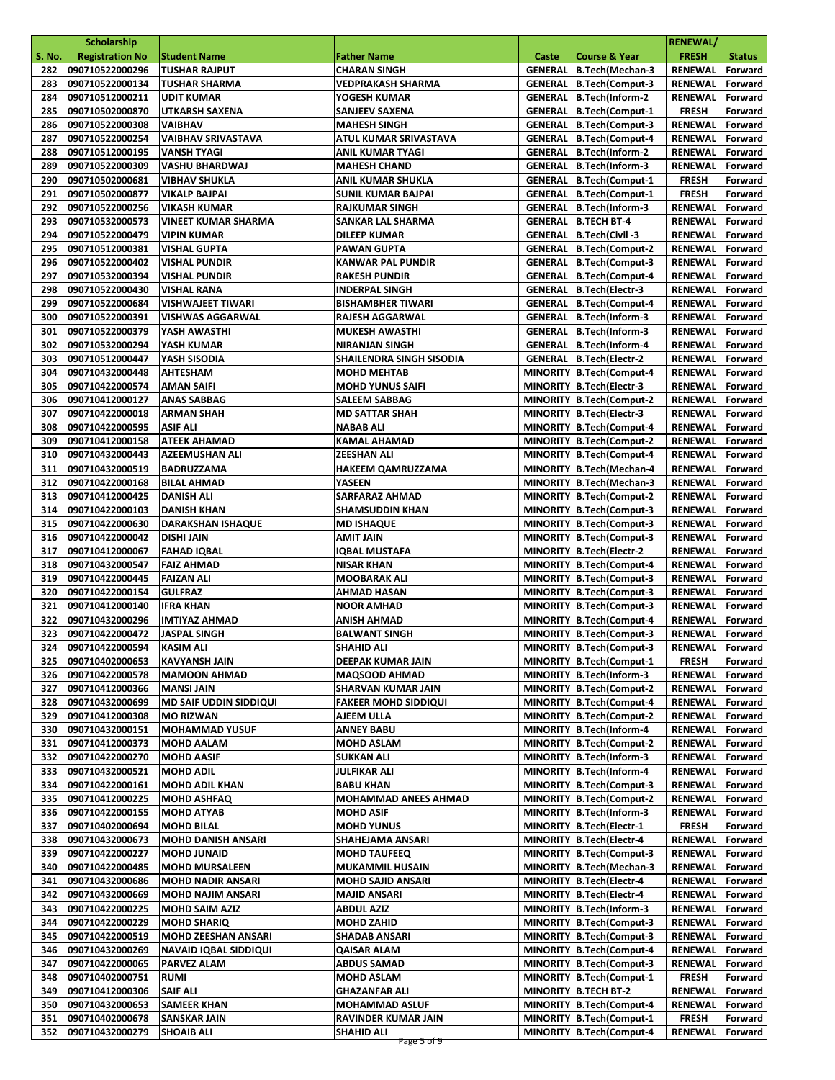|               | <b>Scholarship</b>                 |                                                      |                                           |       |                                                         | <b>RENEWAL/</b>           |                    |
|---------------|------------------------------------|------------------------------------------------------|-------------------------------------------|-------|---------------------------------------------------------|---------------------------|--------------------|
| <b>S. No.</b> | <b>Registration No</b>             | <b>Student Name</b>                                  | <b>Father Name</b>                        | Caste | <b>Course &amp; Year</b>                                | <b>FRESH</b>              | <b>Status</b>      |
| 282           | 090710522000296                    | <b>TUSHAR RAJPUT</b>                                 | <b>CHARAN SINGH</b>                       |       | GENERAL   B.Tech(Mechan-3                               | RENEWAL                   | Forward            |
| 283           | 090710522000134                    | <b>TUSHAR SHARMA</b>                                 | <b>VEDPRAKASH SHARMA</b>                  |       | GENERAL B.Tech(Comput-3                                 | RENEWAL                   | Forward            |
| 284           | 090710512000211                    | <b>UDIT KUMAR</b>                                    | YOGESH KUMAR                              |       | GENERAL B.Tech(Inform-2                                 | <b>RENEWAL</b>            | Forward            |
| 285           | 090710502000870                    | <b>UTKARSH SAXENA</b>                                | SANJEEV SAXENA                            |       | <b>GENERAL B.Tech(Comput-1</b>                          | <b>FRESH</b>              | Forward            |
| 286           | 090710522000308                    | VAIBHAV                                              | <b>MAHESH SINGH</b>                       |       | <b>GENERAL B.Tech(Comput-3</b>                          | <b>RENEWAL</b>            | Forward            |
| 287           | 090710522000254                    | <b>VAIBHAV SRIVASTAVA</b>                            | ATUL KUMAR SRIVASTAVA                     |       | GENERAL B.Tech(Comput-4                                 | <b>RENEWAL</b>            | Forward            |
| 288           | 090710512000195                    | VANSH TYAGI                                          | <b>ANIL KUMAR TYAGI</b>                   |       | GENERAL B.Tech(Inform-2                                 | <b>RENEWAL</b>            | Forward            |
| 289           | 090710522000309                    | VASHU BHARDWAJ                                       | <b>MAHESH CHAND</b>                       |       | GENERAL B.Tech(Inform-3                                 | RENEWAL                   | Forward            |
| 290           | 090710502000681                    | VIBHAV SHUKLA                                        | <b>ANIL KUMAR SHUKLA</b>                  |       | <b>GENERAL   B.Tech(Comput-1</b>                        | <b>FRESH</b>              | Forward            |
| 291           | 090710502000877                    | VIKALP BAJPAI                                        | <b>SUNIL KUMAR BAJPAI</b>                 |       | <b>GENERAL B.Tech(Comput-1</b>                          | <b>FRESH</b>              | Forward            |
| 292           | 090710522000256                    | VIKASH KUMAR                                         | <b>RAJKUMAR SINGH</b>                     |       | GENERAL B.Tech(Inform-3                                 | <b>RENEWAL</b>            | Forward            |
| 293           | 090710532000573                    | <b>VINEET KUMAR SHARMA</b>                           | SANKAR LAL SHARMA                         |       | <b>GENERAL B.TECH BT-4</b>                              | <b>RENEWAL</b>            | Forward            |
| 294           | 090710522000479                    | VIPIN KUMAR                                          | <b>DILEEP KUMAR</b>                       |       | GENERAL B.Tech(Civil-3                                  | <b>RENEWAL</b>            | Forward            |
| 295           | 090710512000381                    | VISHAL GUPTA                                         | <b>PAWAN GUPTA</b>                        |       | GENERAL   B.Tech(Comput-2                               | RENEWAL                   | Forward            |
| 296           | 090710522000402                    | VISHAL PUNDIR                                        | <b>KANWAR PAL PUNDIR</b>                  |       | <b>GENERAL B.Tech(Comput-3</b>                          | RENEWAL                   | Forward            |
| 297           | 090710532000394                    | VISHAL PUNDIR                                        | <b>RAKESH PUNDIR</b>                      |       | GENERAL B.Tech(Comput-4                                 | RENEWAL                   | Forward            |
| 298           | 090710522000430                    | VISHAL RANA                                          | <b>INDERPAL SINGH</b>                     |       | GENERAL   B.Tech(Electr-3                               | <b>RENEWAL</b>            | Forward            |
| 299           | 090710522000684                    | VISHWAJEET TIWARI                                    | <b>BISHAMBHER TIWARI</b>                  |       | <b>GENERAL B.Tech(Comput-4</b>                          | RENEWAL                   | Forward            |
| 300           | 090710522000391                    | <b>VISHWAS AGGARWAL</b>                              | <b>RAJESH AGGARWAL</b>                    |       | GENERAL B.Tech(Inform-3                                 | <b>RENEWAL</b>            | Forward            |
| 301           | 090710522000379                    | YASH AWASTHI                                         | <b>MUKESH AWASTHI</b>                     |       | GENERAL B.Tech(Inform-3                                 | RENEWAL                   | Forward            |
| 302           | 090710532000294                    | YASH KUMAR                                           | <b>NIRANJAN SINGH</b>                     |       | GENERAL B.Tech(Inform-4                                 | RENEWAL                   | Forward            |
| 303           | 090710512000447                    | YASH SISODIA                                         | SHAILENDRA SINGH SISODIA                  |       | GENERAL B.Tech(Electr-2                                 | RENEWAL                   | Forward            |
| 304<br>305    | 090710432000448<br>090710422000574 | <b>AHTESHAM</b>                                      | <b>MOHD MEHTAB</b>                        |       | MINORITY B.Tech(Comput-4                                | RENEWAL                   | Forward            |
|               |                                    | AMAN SAIFI                                           | <b>MOHD YUNUS SAIFI</b>                   |       | MINORITY B.Tech(Electr-3                                | RENEWAL                   | Forward            |
| 306           | 090710412000127                    | <b>ANAS SABBAG</b>                                   | <b>SALEEM SABBAG</b>                      |       | MINORITY B.Tech(Comput-2                                | <b>RENEWAL</b>            | Forward            |
| 307<br>308    | 090710422000018<br>090710422000595 | <b>ARMAN SHAH</b>                                    | <b>MD SATTAR SHAH</b><br><b>NABAB ALI</b> |       | MINORITY B.Tech(Electr-3<br>MINORITY B.Tech(Comput-4    | <b>RENEWAL</b>            | Forward            |
| 309           | 090710412000158                    | ASIF ALI                                             |                                           |       | MINORITY B.Tech(Comput-2                                | RENEWAL                   | Forward<br>Forward |
| 310           | 090710432000443                    | <b>ATEEK AHAMAD</b><br><b>AZEEMUSHAN ALI</b>         | <b>KAMAL AHAMAD</b><br><b>ZEESHAN ALI</b> |       | MINORITY B.Tech(Comput-4                                | RENEWAL<br>RENEWAL        | Forward            |
| 311           | 090710432000519                    | <b>BADRUZZAMA</b>                                    | HAKEEM QAMRUZZAMA                         |       | MINORITY B.Tech(Mechan-4                                | RENEWAL                   | Forward            |
| 312           | 090710422000168                    | <b>BILAL AHMAD</b>                                   | YASEEN                                    |       | MINORITY B.Tech (Mechan-3                               | RENEWAL                   | Forward            |
| 313           | 090710412000425                    | <b>DANISH ALI</b>                                    | <b>SARFARAZ AHMAD</b>                     |       | MINORITY B.Tech(Comput-2                                | <b>RENEWAL</b>            | Forward            |
| 314           | 090710422000103                    | <b>DANISH KHAN</b>                                   | <b>SHAMSUDDIN KHAN</b>                    |       | MINORITY B.Tech(Comput-3                                | RENEWAL                   | Forward            |
| 315           | 090710422000630                    | <b>DARAKSHAN ISHAQUE</b>                             | <b>MD ISHAQUE</b>                         |       | MINORITY B.Tech(Comput-3                                | RENEWAL                   | Forward            |
| 316           | 090710422000042                    | <b>DISHI JAIN</b>                                    | AMIT JAIN                                 |       | MINORITY B.Tech(Comput-3                                | <b>RENEWAL</b>            | Forward            |
| 317           | 090710412000067                    | <b>FAHAD IQBAL</b>                                   | IQBAL MUSTAFA                             |       | MINORITY   B.Tech (Electr-2                             | RENEWAL                   | Forward            |
| 318           | 090710432000547                    | <b>FAIZ AHMAD</b>                                    | <b>NISAR KHAN</b>                         |       | MINORITY B.Tech(Comput-4                                | RENEWAL                   | Forward            |
| 319           | 090710422000445                    | <b>FAIZAN ALI</b>                                    | <b>MOOBARAK ALI</b>                       |       | MINORITY B.Tech(Comput-3                                | <b>RENEWAL</b>            | Forward            |
| 320           | 090710422000154                    | <b>GULFRAZ</b>                                       | AHMAD HASAN                               |       | MINORITY B.Tech(Comput-3                                | <b>RENEWAL</b>            | Forward            |
| 321           | 090710412000140                    | <b>IFRA KHAN</b>                                     | <b>NOOR AMHAD</b>                         |       | MINORITY B.Tech(Comput-3                                | <b>RENEWAL</b>            | Forward            |
| 322           | 090710432000296                    | <b>IMTIYAZ AHMAD</b>                                 | ANISH AHMAD                               |       | MINORITY B.Tech(Comput-4                                | <b>RENEWAL</b>            | Forward            |
| 323           | 090710422000472                    | <b>JASPAL SINGH</b>                                  | <b>BALWANT SINGH</b>                      |       | MINORITY B.Tech(Comput-3                                | RENEWAL                   | Forward            |
|               | 324 090710422000594 KASIM ALI      |                                                      | <b>SHAHID ALI</b>                         |       | MINORITY B.Tech(Comput-3                                | RENEWAL Forward           |                    |
| 325           | 090710402000653                    | KAVYANSH JAIN                                        | DEEPAK KUMAR JAIN                         |       | MINORITY B.Tech(Comput-1                                | <b>FRESH</b>              | Forward            |
| 326           | 090710422000578                    | <b>MAMOON AHMAD</b>                                  | <b>MAQSOOD AHMAD</b>                      |       | MINORITY B.Tech(Inform-3                                | RENEWAL                   | Forward            |
| 327           | 090710412000366                    | <b>MANSI JAIN</b>                                    | SHARVAN KUMAR JAIN                        |       | MINORITY B.Tech(Comput-2                                | <b>RENEWAL</b>            | Forward            |
| 328           | 090710432000699                    | <b>MD SAIF UDDIN SIDDIQUI</b>                        | <b>FAKEER MOHD SIDDIQUI</b>               |       | MINORITY B.Tech(Comput-4                                | RENEWAL                   | Forward            |
| 329           | 090710412000308                    | <b>MO RIZWAN</b>                                     | AJEEM ULLA                                |       | MINORITY B.Tech(Comput-2                                | <b>RENEWAL</b>            | Forward            |
| 330           | 090710432000151                    | <b>MOHAMMAD YUSUF</b>                                | <b>ANNEY BABU</b>                         |       | MINORITY B.Tech(Inform-4                                | <b>RENEWAL</b>            | Forward            |
| 331           | 090710412000373                    | <b>MOHD AALAM</b>                                    | <b>MOHD ASLAM</b>                         |       | MINORITY B.Tech(Comput-2                                | <b>RENEWAL</b>            | Forward            |
| 332           | 090710422000270                    | <b>MOHD AASIF</b>                                    | <b>SUKKAN ALI</b>                         |       | MINORITY B.Tech(Inform-3                                | <b>RENEWAL</b>            | Forward            |
| 333           | 090710432000521                    | <b>MOHD ADIL</b>                                     | JULFIKAR ALI                              |       | MINORITY B.Tech(Inform-4                                | RENEWAL                   | Forward            |
| 334           | 090710422000161                    | <b>MOHD ADIL KHAN</b>                                | <b>BABU KHAN</b>                          |       | MINORITY B.Tech(Comput-3                                | <b>RENEWAL</b>            | Forward            |
| 335           | 090710412000225                    | <b>MOHD ASHFAQ</b>                                   | <b>MOHAMMAD ANEES AHMAD</b>               |       | MINORITY B.Tech(Comput-2                                | RENEWAL                   | Forward            |
| 336           | 090710422000155                    | <b>MOHD ATYAB</b>                                    | <b>MOHD ASIF</b>                          |       | MINORITY B.Tech(Inform-3                                | <b>RENEWAL</b>            | Forward            |
| 337           | 090710402000694                    | <b>MOHD BILAL</b>                                    | <b>MOHD YUNUS</b>                         |       | MINORITY B.Tech(Electr-1                                | <b>FRESH</b>              | Forward            |
| 338           | 090710432000673                    | <b>MOHD DANISH ANSARI</b>                            | SHAHEJAMA ANSARI                          |       | MINORITY B.Tech (Electr-4                               | <b>RENEWAL</b>            | Forward            |
| 339           | 090710422000227                    | <b>MOHD JUNAID</b>                                   | <b>MOHD TAUFEEQ</b>                       |       | MINORITY B.Tech(Comput-3                                | <b>RENEWAL</b>            | Forward            |
| 340           | 090710422000485                    | <b>MOHD MURSALEEN</b>                                | <b>MUKAMMIL HUSAIN</b>                    |       | MINORITY   B.Tech (Mechan-3                             | <b>RENEWAL</b>            | Forward            |
| 341<br>342    | 090710432000686                    | <b>MOHD NADIR ANSARI</b><br><b>MOHD NAJIM ANSARI</b> | <b>MOHD SAJID ANSARI</b>                  |       | MINORITY B.Tech (Electr-4                               | RENEWAL                   | Forward            |
| 343           | 090710432000669<br>090710422000225 | <b>MOHD SAIM AZIZ</b>                                | MAJID ANSARI<br><b>ABDUL AZIZ</b>         |       | MINORITY   B.Tech (Electr-4<br>MINORITY B.Tech(Inform-3 | RENEWAL                   | Forward<br>Forward |
| 344           | 090710422000229                    | <b>MOHD SHARIQ</b>                                   | <b>MOHD ZAHID</b>                         |       | MINORITY B.Tech(Comput-3                                | <b>RENEWAL</b><br>RENEWAL | Forward            |
| 345           | 090710422000519                    | <b>MOHD ZEESHAN ANSARI</b>                           | SHADAB ANSARI                             |       | MINORITY B.Tech(Comput-3                                | RENEWAL                   | Forward            |
| 346           | 090710432000269                    | <b>NAVAID IQBAL SIDDIQUI</b>                         | <b>QAISAR ALAM</b>                        |       | MINORITY B.Tech(Comput-4                                | RENEWAL                   | Forward            |
| 347           | 090710422000065                    | <b>PARVEZ ALAM</b>                                   | <b>ABDUS SAMAD</b>                        |       | MINORITY   B.Tech (Comput-3                             | RENEWAL                   | Forward            |
| 348           | 090710402000751                    | RUMI                                                 | <b>MOHD ASLAM</b>                         |       | MINORITY   B.Tech (Comput-1                             | <b>FRESH</b>              | Forward            |
| 349           | 090710412000306                    | <b>SAIF ALI</b>                                      | <b>GHAZANFAR ALI</b>                      |       | MINORITY B.TECH BT-2                                    | <b>RENEWAL</b>            | Forward            |
| 350           | 090710432000653                    | <b>SAMEER KHAN</b>                                   | <b>MOHAMMAD ASLUF</b>                     |       | MINORITY B.Tech(Comput-4                                | <b>RENEWAL</b>            | Forward            |
| 351           | 090710402000678                    | SANSKAR JAIN                                         | RAVINDER KUMAR JAIN                       |       | MINORITY B.Tech(Comput-1                                | <b>FRESH</b>              | Forward            |
| 352           | 090710432000279                    | <b>SHOAIB ALI</b>                                    | SHAHID ALI                                |       | MINORITY B.Tech(Comput-4                                | <b>RENEWAL</b>            | Forward            |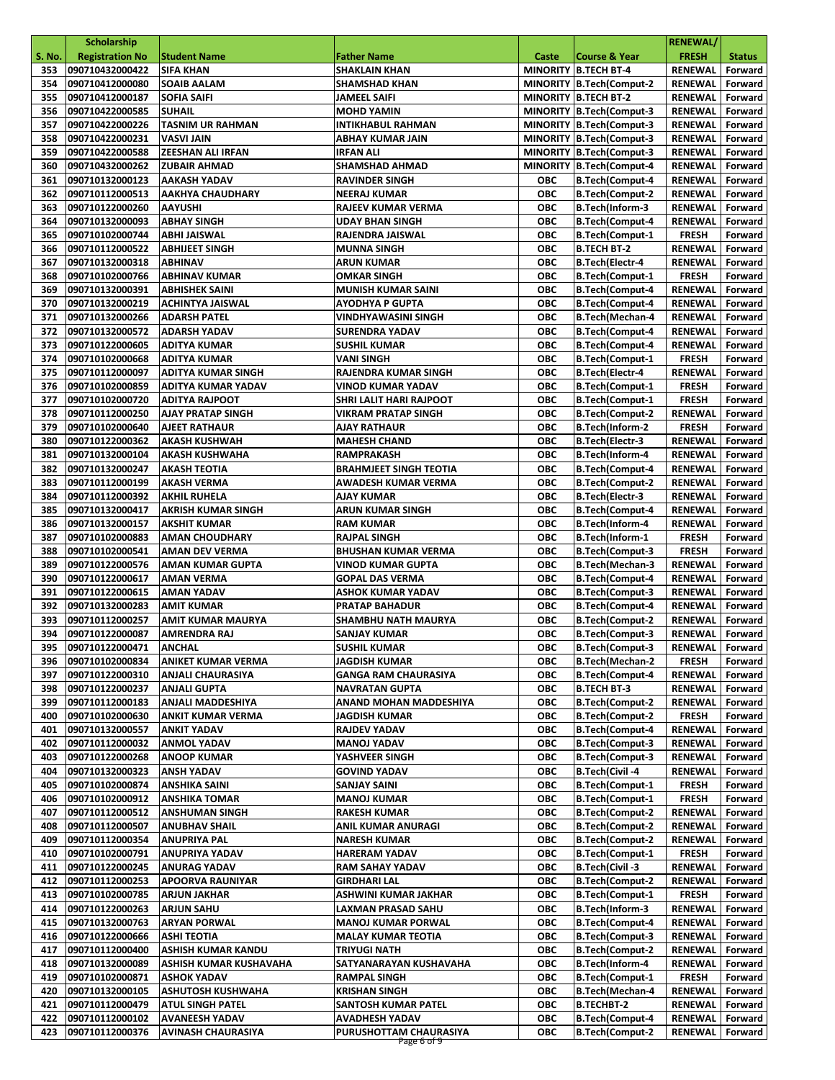|               | <b>Scholarship</b>                 |                                                    |                                                      |                          |                                                         | <b>RENEWAL/</b>                  |                    |
|---------------|------------------------------------|----------------------------------------------------|------------------------------------------------------|--------------------------|---------------------------------------------------------|----------------------------------|--------------------|
| <b>S. No.</b> | <b>Registration No</b>             | <b>Student Name</b>                                | <b>Father Name</b>                                   | Caste                    | <b>Course &amp; Year</b>                                | <b>FRESH</b>                     | <b>Status</b>      |
| 353           | 090710432000422                    | <b>SIFA KHAN</b>                                   | <b>SHAKLAIN KHAN</b>                                 |                          | <b>MINORITY B.TECH BT-4</b>                             | <b>RENEWAL</b>                   | Forward            |
| 354           | 090710412000080                    | <b>SOAIB AALAM</b>                                 | <b>SHAMSHAD KHAN</b>                                 |                          | MINORITY B.Tech(Comput-2                                | <b>RENEWAL</b>                   | Forward            |
| 355<br>356    | 090710412000187<br>090710422000585 | <b>SOFIA SAIFI</b><br><b>SUHAIL</b>                | <b>JAMEEL SAIFI</b><br><b>MOHD YAMIN</b>             |                          | <b>MINORITY B.TECH BT-2</b><br>MINORITY B.Tech(Comput-3 | <b>RENEWAL</b><br><b>RENEWAL</b> | Forward<br>Forward |
| 357           | 090710422000226                    | TASNIM UR RAHMAN                                   | <b>INTIKHABUL RAHMAN</b>                             |                          | MINORITY B.Tech(Comput-3                                | <b>RENEWAL</b>                   | Forward            |
| 358           | 090710422000231                    | <b>VASVI JAIN</b>                                  | ABHAY KUMAR JAIN                                     |                          | MINORITY B.Tech(Comput-3                                | <b>RENEWAL</b>                   | Forward            |
| 359           | 090710422000588                    | <b>ZEESHAN ALI IRFAN</b>                           | <b>IRFAN ALI</b>                                     |                          | MINORITY B.Tech(Comput-3                                | <b>RENEWAL</b>                   | Forward            |
| 360           | 090710432000262                    | <b>ZUBAIR AHMAD</b>                                | <b>SHAMSHAD AHMAD</b>                                |                          | MINORITY B.Tech(Comput-4                                | <b>RENEWAL</b>                   | Forward            |
| 361           | 090710132000123                    | <b>AAKASH YADAV</b>                                | <b>RAVINDER SINGH</b>                                | ОВС                      | <b>B.Tech(Comput-4</b>                                  | <b>RENEWAL</b>                   | Forward            |
| 362           | 090710112000513                    | <b>AAKHYA CHAUDHARY</b>                            | <b>NEERAJ KUMAR</b>                                  | ОВС                      | <b>B.Tech(Comput-2</b>                                  | <b>RENEWAL</b>                   | Forward            |
| 363           | 090710122000260                    | <b>AAYUSHI</b>                                     | RAJEEV KUMAR VERMA                                   | <b>OBC</b>               | B.Tech(Inform-3                                         | <b>RENEWAL</b>                   | Forward            |
| 364           | 090710132000093                    | <b>ABHAY SINGH</b>                                 | <b>UDAY BHAN SINGH</b>                               | ОВС                      | <b>B.Tech(Comput-4</b>                                  | <b>RENEWAL</b>                   | Forward            |
| 365           | 090710102000744                    | ABHI JAISWAL                                       | RAJENDRA JAISWAL                                     | <b>OBC</b>               | <b>B.Tech(Comput-1</b>                                  | <b>FRESH</b>                     | Forward            |
| 366           | 090710112000522                    | <b>ABHIJEET SINGH</b>                              | <b>MUNNA SINGH</b>                                   | ОВС                      | <b>B.TECH BT-2</b>                                      | <b>RENEWAL</b>                   | Forward            |
| 367<br>368    | 090710132000318                    | <b>ABHINAV</b><br><b>ABHINAV KUMAR</b>             | ARUN KUMAR<br><b>OMKAR SINGH</b>                     | ОВС<br><b>OBC</b>        | B.Tech(Electr-4                                         | <b>RENEWAL</b><br><b>FRESH</b>   | Forward            |
| 369           | 090710102000766<br>090710132000391 | <b>ABHISHEK SAINI</b>                              | <b>MUNISH KUMAR SAINI</b>                            | <b>OBC</b>               | <b>B.Tech(Comput-1</b><br><b>B.Tech(Comput-4</b>        | <b>RENEWAL</b>                   | Forward<br>Forward |
| 370           | 090710132000219                    | <b>ACHINTYA JAISWAL</b>                            | <b>AYODHYA P GUPTA</b>                               | <b>OBC</b>               | <b>B.Tech(Comput-4</b>                                  | RENEWAL                          | Forward            |
| 371           | 090710132000266                    | <b>ADARSH PATEL</b>                                | VINDHYAWASINI SINGH                                  | ОВС                      | <b>B.Tech(Mechan-4</b>                                  | <b>RENEWAL</b>                   | Forward            |
| 372           | 090710132000572                    | <b>ADARSH YADAV</b>                                | <b>SURENDRA YADAV</b>                                | <b>OBC</b>               | <b>B.Tech(Comput-4</b>                                  | <b>RENEWAL</b>                   | Forward            |
| 373           | 090710122000605                    | ADITYA KUMAR                                       | <b>SUSHIL KUMAR</b>                                  | ОВС                      | <b>B.Tech(Comput-4</b>                                  | <b>RENEWAL</b>                   | Forward            |
| 374           | 090710102000668                    | <b>ADITYA KUMAR</b>                                | <b>VANI SINGH</b>                                    | <b>OBC</b>               | <b>B.Tech(Comput-1</b>                                  | <b>FRESH</b>                     | Forward            |
| 375           | 090710112000097                    | <b>ADITYA KUMAR SINGH</b>                          | RAJENDRA KUMAR SINGH                                 | <b>OBC</b>               | B.Tech(Electr-4                                         | <b>RENEWAL</b>                   | Forward            |
| 376           | 090710102000859                    | <b>ADITYA KUMAR YADAV</b>                          | <b>VINOD KUMAR YADAV</b>                             | ОВС                      | <b>B.Tech(Comput-1</b>                                  | <b>FRESH</b>                     | Forward            |
| 377           | 090710102000720                    | <b>ADITYA RAJPOOT</b>                              | SHRI LALIT HARI RAJPOOT                              | <b>OBC</b>               | <b>B.Tech(Comput-1</b>                                  | <b>FRESH</b>                     | Forward            |
| 378           | 090710112000250                    | <b>AJAY PRATAP SINGH</b>                           | <b>VIKRAM PRATAP SINGH</b>                           | ОВС                      | <b>B.Tech(Comput-2</b>                                  | <b>RENEWAL</b>                   | Forward            |
| 379           | 090710102000640                    | <b>AJEET RATHAUR</b>                               | <b>AJAY RATHAUR</b>                                  | <b>OBC</b>               | B.Tech(Inform-2                                         | <b>FRESH</b>                     | Forward            |
| 380           | 090710122000362                    | <b>AKASH KUSHWAH</b>                               | <b>MAHESH CHAND</b>                                  | <b>OBC</b>               | B.Tech(Electr-3                                         | <b>RENEWAL</b>                   | Forward            |
| 381<br>382    | 090710132000104                    | <b>AKASH KUSHWAHA</b>                              | <b>RAMPRAKASH</b>                                    | ОВС<br><b>OBC</b>        | B.Tech(Inform-4                                         | <b>RENEWAL</b>                   | Forward            |
| 383           | 090710132000247<br>090710112000199 | <b>AKASH TEOTIA</b><br><b>AKASH VERMA</b>          | <b>BRAHMJEET SINGH TEOTIA</b><br>AWADESH KUMAR VERMA | <b>OBC</b>               | <b>B.Tech(Comput-4</b><br><b>B.Tech(Comput-2</b>        | <b>RENEWAL</b><br><b>RENEWAL</b> | Forward<br>Forward |
| 384           | 090710112000392                    | <b>AKHIL RUHELA</b>                                | AJAY KUMAR                                           | ОВС                      | <b>B.Tech</b> (Electr-3                                 | <b>RENEWAL</b>                   | Forward            |
| 385           | 090710132000417                    | <b>AKRISH KUMAR SINGH</b>                          | ARUN KUMAR SINGH                                     | ОВС                      | <b>B.Tech(Comput-4</b>                                  | <b>RENEWAL</b>                   | Forward            |
| 386           | 090710132000157                    | <b>AKSHIT KUMAR</b>                                | <b>RAM KUMAR</b>                                     | <b>OBC</b>               | B.Tech(Inform-4                                         | <b>RENEWAL</b>                   | Forward            |
| 387           | 090710102000883                    | <b>AMAN CHOUDHARY</b>                              | <b>RAJPAL SINGH</b>                                  | ОВС                      | B.Tech(Inform-1                                         | <b>FRESH</b>                     | Forward            |
| 388           | 090710102000541                    | <b>AMAN DEV VERMA</b>                              | <b>BHUSHAN KUMAR VERMA</b>                           | <b>OBC</b>               | <b>B.Tech(Comput-3</b>                                  | <b>FRESH</b>                     | Forward            |
| 389           | 090710122000576                    | <b>AMAN KUMAR GUPTA</b>                            | <b>VINOD KUMAR GUPTA</b>                             | ОВС                      | <b>B.Tech(Mechan-3</b>                                  | <b>RENEWAL</b>                   | Forward            |
| 390           | 090710122000617                    | <b>AMAN VERMA</b>                                  | <b>GOPAL DAS VERMA</b>                               | <b>OBC</b>               | <b>B.Tech(Comput-4</b>                                  | <b>RENEWAL</b>                   | Forward            |
| 391           | 090710122000615                    | <b>AMAN YADAV</b>                                  | <b>ASHOK KUMAR YADAV</b>                             | <b>OBC</b>               | <b>B.Tech(Comput-3</b>                                  | <b>RENEWAL</b>                   | Forward            |
| 392           | 090710132000283                    | <b>AMIT KUMAR</b>                                  | <b>PRATAP BAHADUR</b>                                | ОВС                      | <b>B.Tech(Comput-4</b>                                  | <b>RENEWAL</b>                   | Forward            |
| 393           | 090710112000257<br>090710122000087 | <b>AMIT KUMAR MAURYA</b>                           | <b>SHAMBHU NATH MAURYA</b>                           | <b>OBC</b><br><b>OBC</b> | <b>B.Tech(Comput-2</b>                                  | <b>RENEWAL</b>                   | Forward            |
| 394           | 395 090710122000471 ANCHAL         | <b>AMRENDRA RAJ</b>                                | SANJAY KUMAR<br><b>SUSHIL KUMAR</b>                  | ОВС                      | B.Tech(Comput-3<br><b>B.Tech(Comput-3</b>               | RENEWAL<br>RENEWAL Forward       | Forward            |
| 396           | 090710102000834                    | ANIKET KUMAR VERMA                                 | <b>JAGDISH KUMAR</b>                                 | ОВС                      | <b>B.Tech</b> (Mechan-2                                 | <b>FRESH</b>                     | Forward            |
| 397           | 090710122000310                    | <b>ANJALI CHAURASIYA</b>                           | <b>GANGA RAM CHAURASIYA</b>                          | ОВС                      | <b>B.Tech(Comput-4</b>                                  | RENEWAL                          | Forward            |
| 398           | 090710122000237                    | <b>ANJALI GUPTA</b>                                | <b>NAVRATAN GUPTA</b>                                | ОВС                      | <b>B.TECH BT-3</b>                                      | RENEWAL                          | Forward            |
| 399           | 090710112000183                    | <b>ANJALI MADDESHIYA</b>                           | ANAND MOHAN MADDESHIYA                               | ОВС                      | <b>B.Tech(Comput-2</b>                                  | <b>RENEWAL</b>                   | Forward            |
| 400           | 090710102000630                    | <b>ANKIT KUMAR VERMA</b>                           | JAGDISH KUMAR                                        | ОВС                      | <b>B.Tech(Comput-2</b>                                  | <b>FRESH</b>                     | Forward            |
| 401           | 090710132000557                    | <b>ANKIT YADAV</b>                                 | RAJDEV YADAV                                         | ОВС                      | <b>B.Tech(Comput-4</b>                                  | <b>RENEWAL</b>                   | Forward            |
| 402           | 090710112000032                    | <b>ANMOL YADAV</b>                                 | <b>MANOJ YADAV</b>                                   | ОВС                      | <b>B.Tech(Comput-3</b>                                  | RENEWAL                          | Forward            |
| 403           | 090710122000268                    | <b>ANOOP KUMAR</b>                                 | YASHVEER SINGH                                       | ОВС                      | B.Tech(Comput-3                                         | RENEWAL                          | Forward            |
| 404           | 090710132000323                    | <b>ANSH YADAV</b>                                  | <b>GOVIND YADAV</b>                                  | <b>OBC</b>               | B.Tech(Civil-4                                          | <b>RENEWAL</b>                   | Forward            |
| 405           | 090710102000874                    | ANSHIKA SAINI                                      | <b>SANJAY SAINI</b>                                  | ОВС                      | <b>B.Tech(Comput-1</b>                                  | <b>FRESH</b>                     | Forward            |
| 406           | 090710102000912                    | <b>ANSHIKA TOMAR</b>                               | <b>MANOJ KUMAR</b>                                   | ОВС                      | <b>B.Tech(Comput-1</b>                                  | <b>FRESH</b>                     | Forward            |
| 407<br>408    | 090710112000512<br>090710112000507 | <b>ANSHUMAN SINGH</b><br><b>ANUBHAV SHAIL</b>      | <b>RAKESH KUMAR</b><br>ANIL KUMAR ANURAGI            | ОВС<br>ОВС               | <b>B.Tech(Comput-2</b><br><b>B.Tech(Comput-2</b>        | <b>RENEWAL</b><br>RENEWAL        | Forward<br>Forward |
| 409           | 090710112000354                    | <b>ANUPRIYA PAL</b>                                | <b>NARESH KUMAR</b>                                  | ОВС                      | <b>B.Tech(Comput-2</b>                                  | <b>RENEWAL</b>                   | Forward            |
| 410           | 090710102000791                    | ANUPRIYA YADAV                                     | <b>HARERAM YADAV</b>                                 | ОВС                      | <b>B.Tech(Comput-1</b>                                  | <b>FRESH</b>                     | Forward            |
| 411           | 090710122000245                    | <b>ANURAG YADAV</b>                                | RAM SAHAY YADAV                                      | ОВС                      | <b>B.Tech(Civil-3</b>                                   | RENEWAL                          | Forward            |
| 412           | 090710112000253                    | <b>APOORVA RAUNIYAR</b>                            | GIRDHARI LAL                                         | ОВС                      | <b>B.Tech(Comput-2</b>                                  | <b>RENEWAL</b>                   | Forward            |
| 413           | 090710102000785                    | <b>ARJUN JAKHAR</b>                                | ASHWINI KUMAR JAKHAR                                 | ОВС                      | <b>B.Tech(Comput-1</b>                                  | <b>FRESH</b>                     | Forward            |
| 414           | 090710122000263                    | <b>ARJUN SAHU</b>                                  | LAXMAN PRASAD SAHU                                   | ОВС                      | B.Tech(Inform-3                                         | RENEWAL                          | Forward            |
| 415           | 090710132000763                    | <b>ARYAN PORWAL</b>                                | <b>MANOJ KUMAR PORWAL</b>                            | ОВС                      | <b>B.Tech(Comput-4</b>                                  | <b>RENEWAL</b>                   | Forward            |
| 416           | 090710122000666                    | ASHI TEOTIA                                        | <b>MALAY KUMAR TEOTIA</b>                            | ОВС                      | <b>B.Tech(Comput-3</b>                                  | <b>RENEWAL</b>                   | Forward            |
| 417           | 090710112000400                    | ASHISH KUMAR KANDU                                 | TRIYUGI NATH                                         | ОВС                      | <b>B.Tech(Comput-2</b>                                  | RENEWAL                          | Forward            |
| 418           | 090710132000089                    | ASHISH KUMAR KUSHAVAHA                             | SATYANARAYAN KUSHAVAHA                               | ОВС                      | B.Tech(Inform-4                                         | <b>RENEWAL</b>                   | Forward            |
| 419           | 090710102000871                    | <b>ASHOK YADAV</b>                                 | <b>RAMPAL SINGH</b>                                  | ОВС                      | <b>B.Tech(Comput-1</b>                                  | <b>FRESH</b>                     | Forward            |
| 420           | 090710132000105                    | <b>ASHUTOSH KUSHWAHA</b>                           | <b>KRISHAN SINGH</b>                                 | ОВС                      | <b>B.Tech(Mechan-4</b>                                  | RENEWAL                          | Forward            |
| 421           | 090710112000479                    | <b>ATUL SINGH PATEL</b>                            | SANTOSH KUMAR PATEL                                  | ОВС                      | <b>B.TECHBT-2</b>                                       | <b>RENEWAL</b>                   | Forward            |
| 422<br>423    | 090710112000102<br>090710112000376 | <b>AVANEESH YADAV</b><br><b>AVINASH CHAURASIYA</b> | AVADHESH YADAV<br>PURUSHOTTAM CHAURASIYA             | ОВС<br>ОВС               | <b>B.Tech(Comput-4</b><br><b>B.Tech(Comput-2</b>        | RENEWAL<br><b>RENEWAL</b>        | Forward<br>Forward |
|               |                                    |                                                    | Page 6 of 9                                          |                          |                                                         |                                  |                    |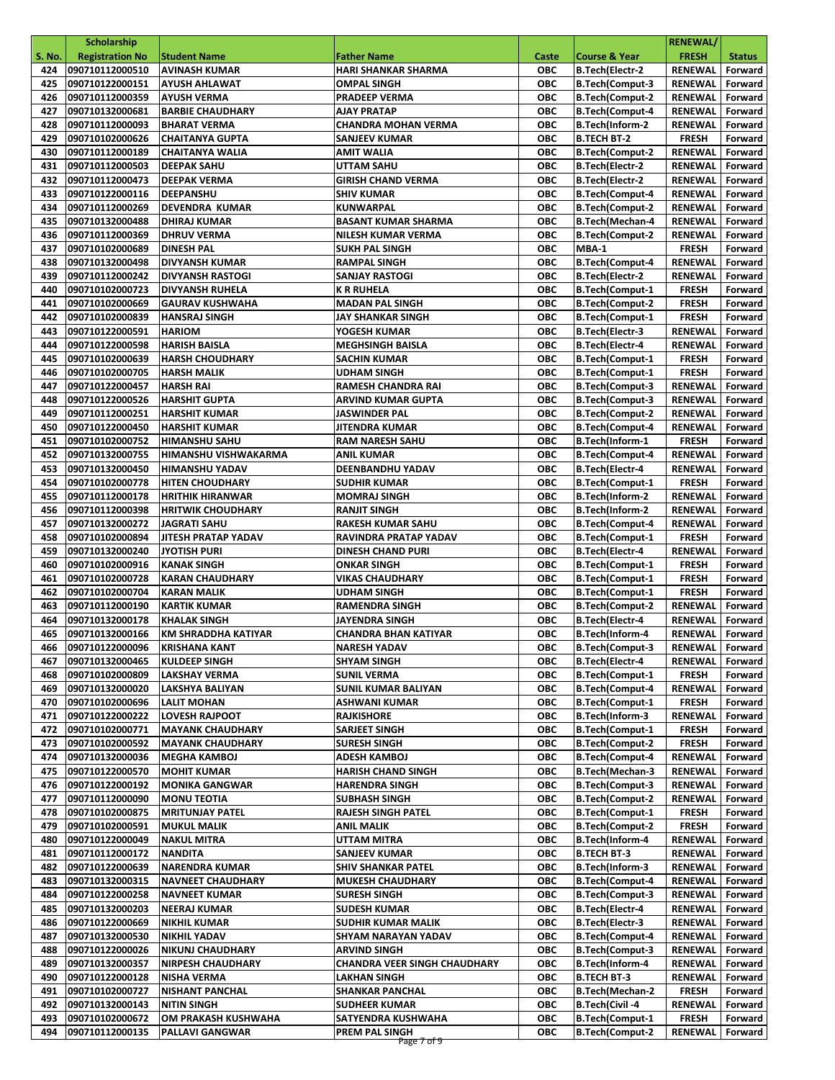|               | <b>Scholarship</b>     |                          |                                     |            |                          | <b>RENEWAL/</b> |               |
|---------------|------------------------|--------------------------|-------------------------------------|------------|--------------------------|-----------------|---------------|
| <b>S. No.</b> | <b>Registration No</b> | <b>Student Name</b>      | <b>Father Name</b>                  | Caste      | <b>Course &amp; Year</b> | <b>FRESH</b>    | <b>Status</b> |
| 424           | 090710112000510        | <b>AVINASH KUMAR</b>     | <b>HARI SHANKAR SHARMA</b>          | <b>OBC</b> | <b>B.Tech(Electr-2</b>   | <b>RENEWAL</b>  | Forward       |
| 425           | 090710122000151        | <b>AYUSH AHLAWAT</b>     | <b>OMPAL SINGH</b>                  | <b>OBC</b> | <b>B.Tech(Comput-3</b>   | <b>RENEWAL</b>  | Forward       |
| 426           | 090710112000359        | <b>AYUSH VERMA</b>       | <b>PRADEEP VERMA</b>                | ОВС        | <b>B.Tech(Comput-2</b>   | RENEWAL         | Forward       |
| 427           | 090710132000681        | <b>BARBIE CHAUDHARY</b>  | AJAY PRATAP                         | <b>OBC</b> | <b>B.Tech(Comput-4</b>   | <b>RENEWAL</b>  | Forward       |
| 428           | 090710112000093        | <b>BHARAT VERMA</b>      | <b>CHANDRA MOHAN VERMA</b>          | <b>OBC</b> | B.Tech(Inform-2          | <b>RENEWAL</b>  | Forward       |
| 429           | 090710102000626        | <b>CHAITANYA GUPTA</b>   | <b>SANJEEV KUMAR</b>                | ОВС        | <b>B.TECH BT-2</b>       | <b>FRESH</b>    | Forward       |
| 430           | 090710112000189        | <b>CHAITANYA WALIA</b>   | <b>AMIT WALIA</b>                   | ОВС        | <b>B.Tech(Comput-2</b>   | <b>RENEWAL</b>  | Forward       |
| 431           | 090710112000503        | <b>DEEPAK SAHU</b>       | UTTAM SAHU                          | <b>OBC</b> | <b>B.Tech(Electr-2</b>   | <b>RENEWAL</b>  | Forward       |
| 432           | 090710112000473        | <b>DEEPAK VERMA</b>      | <b>GIRISH CHAND VERMA</b>           | <b>OBC</b> | B.Tech(Electr-2          | <b>RENEWAL</b>  | Forward       |
| 433           | 090710122000116        | DEEPANSHU                | <b>SHIV KUMAR</b>                   | <b>OBC</b> | <b>B.Tech(Comput-4</b>   | <b>RENEWAL</b>  | Forward       |
| 434           | 090710112000269        | <b>DEVENDRA KUMAR</b>    | KUNWARPAL                           | ОВС        | <b>B.Tech(Comput-2</b>   | <b>RENEWAL</b>  | Forward       |
| 435           | 090710132000488        | <b>DHIRAJ KUMAR</b>      | <b>BASANT KUMAR SHARMA</b>          | <b>OBC</b> | B.Tech(Mechan-4          | <b>RENEWAL</b>  | Forward       |
| 436           | 090710112000369        | <b>DHRUV VERMA</b>       | NILESH KUMAR VERMA                  | <b>OBC</b> | <b>B.Tech(Comput-2</b>   | <b>RENEWAL</b>  | Forward       |
| 437           | 090710102000689        | <b>DINESH PAL</b>        | <b>SUKH PAL SINGH</b>               | ОВС        | MBA-1                    | <b>FRESH</b>    | Forward       |
| 438           | 090710132000498        | <b>DIVYANSH KUMAR</b>    | <b>RAMPAL SINGH</b>                 | <b>OBC</b> | <b>B.Tech(Comput-4</b>   | <b>RENEWAL</b>  | Forward       |
| 439           | 090710112000242        | <b>DIVYANSH RASTOGI</b>  | <b>SANJAY RASTOGI</b>               | <b>OBC</b> | B.Tech(Electr-2          | <b>RENEWAL</b>  | Forward       |
| 440           | 090710102000723        | <b>DIVYANSH RUHELA</b>   | <b>K R RUHELA</b>                   | <b>OBC</b> | <b>B.Tech(Comput-1</b>   | <b>FRESH</b>    | Forward       |
| 441           | 090710102000669        | <b>GAURAV KUSHWAHA</b>   | <b>MADAN PAL SINGH</b>              | <b>OBC</b> | <b>B.Tech(Comput-2</b>   | <b>FRESH</b>    | Forward       |
| 442           | 090710102000839        |                          | JAY SHANKAR SINGH                   | <b>OBC</b> | <b>B.Tech(Comput-1</b>   | <b>FRESH</b>    |               |
|               |                        | <b>HANSRAJ SINGH</b>     |                                     |            |                          |                 | Forward       |
| 443           | 090710122000591        | <b>HARIOM</b>            | YOGESH KUMAR                        | ОВС        | B.Tech(Electr-3          | <b>RENEWAL</b>  | Forward       |
| 444           | 090710122000598        | <b>HARISH BAISLA</b>     | <b>MEGHSINGH BAISLA</b>             | <b>OBC</b> | B.Tech(Electr-4          | <b>RENEWAL</b>  | Forward       |
| 445           | 090710102000639        | <b>HARSH CHOUDHARY</b>   | <b>SACHIN KUMAR</b>                 | ОВС        | <b>B.Tech(Comput-1</b>   | <b>FRESH</b>    | Forward       |
| 446           | 090710102000705        | <b>HARSH MALIK</b>       | <b>UDHAM SINGH</b>                  | <b>OBC</b> | <b>B.Tech(Comput-1</b>   | <b>FRESH</b>    | Forward       |
| 447           | 090710122000457        | <b>HARSH RAI</b>         | <b>RAMESH CHANDRA RAI</b>           | <b>OBC</b> | <b>B.Tech(Comput-3</b>   | <b>RENEWAL</b>  | Forward       |
| 448           | 090710122000526        | <b>HARSHIT GUPTA</b>     | <b>ARVIND KUMAR GUPTA</b>           | ОВС        | <b>B.Tech(Comput-3</b>   | <b>RENEWAL</b>  | Forward       |
| 449           | 090710112000251        | <b>HARSHIT KUMAR</b>     | <b>JASWINDER PAL</b>                | <b>OBC</b> | <b>B.Tech(Comput-2</b>   | <b>RENEWAL</b>  | Forward       |
| 450           | 090710122000450        | <b>HARSHIT KUMAR</b>     | <b>JITENDRA KUMAR</b>               | <b>OBC</b> | <b>B.Tech(Comput-4</b>   | <b>RENEWAL</b>  | Forward       |
| 451           | 090710102000752        | <b>HIMANSHU SAHU</b>     | <b>RAM NARESH SAHU</b>              | ОВС        | B.Tech(Inform-1          | <b>FRESH</b>    | Forward       |
| 452           | 090710132000755        | HIMANSHU VISHWAKARMA     | <b>ANIL KUMAR</b>                   | <b>OBC</b> | <b>B.Tech(Comput-4</b>   | <b>RENEWAL</b>  | Forward       |
| 453           | 090710132000450        | <b>HIMANSHU YADAV</b>    | DEENBANDHU YADAV                    | <b>OBC</b> | <b>B.Tech(Electr-4</b>   | <b>RENEWAL</b>  | Forward       |
| 454           | 090710102000778        | <b>HITEN CHOUDHARY</b>   | <b>SUDHIR KUMAR</b>                 | <b>OBC</b> | <b>B.Tech(Comput-1</b>   | <b>FRESH</b>    | Forward       |
| 455           | 090710112000178        | <b>HRITHIK HIRANWAR</b>  | <b>MOMRAJ SINGH</b>                 | ОВС        | B.Tech(Inform-2          | <b>RENEWAL</b>  | Forward       |
| 456           | 090710112000398        | <b>HRITWIK CHOUDHARY</b> | <b>RANJIT SINGH</b>                 | <b>OBC</b> | <b>B.Tech(Inform-2</b>   | <b>RENEWAL</b>  | Forward       |
| 457           | 090710132000272        | JAGRATI SAHU             | RAKESH KUMAR SAHU                   | ОВС        | <b>B.Tech(Comput-4</b>   | <b>RENEWAL</b>  | Forward       |
| 458           | 090710102000894        | JITESH PRATAP YADAV      | RAVINDRA PRATAP YADAV               | <b>OBC</b> | <b>B.Tech(Comput-1</b>   | <b>FRESH</b>    | Forward       |
| 459           | 090710132000240        | <b>JYOTISH PURI</b>      | <b>DINESH CHAND PURI</b>            | ОВС        | <b>B.Tech(Electr-4</b>   | <b>RENEWAL</b>  | Forward       |
| 460           | 090710102000916        | <b>KANAK SINGH</b>       | <b>ONKAR SINGH</b>                  | <b>OBC</b> | <b>B.Tech(Comput-1</b>   | <b>FRESH</b>    | Forward       |
| 461           | 090710102000728        | <b>KARAN CHAUDHARY</b>   | <b>VIKAS CHAUDHARY</b>              | <b>OBC</b> | <b>B.Tech(Comput-1</b>   | <b>FRESH</b>    | Forward       |
| 462           | 090710102000704        | <b>KARAN MALIK</b>       | <b>UDHAM SINGH</b>                  | <b>OBC</b> | <b>B.Tech(Comput-1</b>   | <b>FRESH</b>    | Forward       |
| 463           | 090710112000190        | <b>KARTIK KUMAR</b>      | <b>RAMENDRA SINGH</b>               | ОВС        | <b>B.Tech(Comput-2</b>   | <b>RENEWAL</b>  | Forward       |
| 464           | 090710132000178        | <b>KHALAK SINGH</b>      | <b>JAYENDRA SINGH</b>               | ОВС        | <b>B.Tech(Electr-4</b>   | <b>RENEWAL</b>  | Forward       |
| 465           | 090710132000166        | KM SHRADDHA KATIYAR      | <b>CHANDRA BHAN KATIYAR</b>         | ОВС        | B.Tech(Inform-4          | RENEWAL         | Forward       |
|               | 466 090710122000096    | <b>KRISHANA KANT</b>     | <b>NARESH YADAV</b>                 | ОВС        | <b>B.Tech(Comput-3</b>   | RENEWAL Forward |               |
| 467           | 090710132000465        | KULDEEP SINGH            | <b>SHYAM SINGH</b>                  | ОВС        | B.Tech(Electr-4          | RENEWAL         | Forward       |
| 468           | 090710102000809        | <b>LAKSHAY VERMA</b>     | <b>SUNIL VERMA</b>                  | ОВС        | <b>B.Tech(Comput-1</b>   | <b>FRESH</b>    | Forward       |
| 469           | 090710132000020        | <b>LAKSHYA BALIYAN</b>   | <b>SUNIL KUMAR BALIYAN</b>          | <b>OBC</b> | <b>B.Tech(Comput-4</b>   | RENEWAL         | Forward       |
| 470           | 090710102000696        | <b>LALIT MOHAN</b>       | <b>ASHWANI KUMAR</b>                | ОВС        | <b>B.Tech(Comput-1</b>   | <b>FRESH</b>    | Forward       |
| 471           | 090710122000222        | <b>LOVESH RAJPOOT</b>    | <b>RAJKISHORE</b>                   | ОВС        | B.Tech(Inform-3          | <b>RENEWAL</b>  | Forward       |
| 472           | 090710102000771        | <b>MAYANK CHAUDHARY</b>  | <b>SARJEET SINGH</b>                | ОВС        | <b>B.Tech(Comput-1</b>   | <b>FRESH</b>    | Forward       |
| 473           | 090710102000592        | <b>MAYANK CHAUDHARY</b>  | <b>SURESH SINGH</b>                 | ОВС        | <b>B.Tech(Comput-2</b>   | <b>FRESH</b>    | Forward       |
| 474           | 090710132000036        | <b>MEGHA KAMBOJ</b>      | ADESH KAMBOJ                        | ОВС        | <b>B.Tech(Comput-4</b>   | <b>RENEWAL</b>  | Forward       |
| 475           | 090710122000570        | <b>MOHIT KUMAR</b>       | <b>HARISH CHAND SINGH</b>           | ОВС        | <b>B.Tech(Mechan-3</b>   | <b>RENEWAL</b>  | Forward       |
| 476           | 090710122000192        | <b>MONIKA GANGWAR</b>    | <b>HARENDRA SINGH</b>               | ОВС        | <b>B.Tech(Comput-3</b>   | RENEWAL         | Forward       |
| 477           | 090710112000090        | <b>MONU TEOTIA</b>       | <b>SUBHASH SINGH</b>                | ОВС        | <b>B.Tech(Comput-2</b>   | <b>RENEWAL</b>  | Forward       |
| 478           | 090710102000875        | <b>MRITUNJAY PATEL</b>   | RAJESH SINGH PATEL                  | ОВС        | <b>B.Tech(Comput-1</b>   | <b>FRESH</b>    | Forward       |
| 479           | 090710102000591        | <b>MUKUL MALIK</b>       | ANIL MALIK                          | ОВС        | <b>B.Tech(Comput-2</b>   | <b>FRESH</b>    | Forward       |
| 480           | 090710122000049        | <b>NAKUL MITRA</b>       | UTTAM MITRA                         | ОВС        | B.Tech(Inform-4          | RENEWAL         | Forward       |
| 481           | 090710112000172        | <b>NANDITA</b>           | SANJEEV KUMAR                       | ОВС        | <b>B.TECH BT-3</b>       | <b>RENEWAL</b>  | Forward       |
| 482           | 090710122000639        | <b>NARENDRA KUMAR</b>    | <b>SHIV SHANKAR PATEL</b>           | ОВС        | B.Tech(Inform-3          | RENEWAL         | Forward       |
| 483           | 090710132000315        | <b>NAVNEET CHAUDHARY</b> | <b>MUKESH CHAUDHARY</b>             | ОВС        | <b>B.Tech(Comput-4</b>   | RENEWAL         | Forward       |
| 484           | 090710122000258        | <b>NAVNEET KUMAR</b>     | <b>SURESH SINGH</b>                 | ОВС        | <b>B.Tech(Comput-3</b>   | RENEWAL         | Forward       |
| 485           | 090710132000203        | <b>NEERAJ KUMAR</b>      | <b>SUDESH KUMAR</b>                 | <b>OBC</b> | <b>B.Tech(Electr-4</b>   | RENEWAL         | Forward       |
| 486           |                        |                          |                                     | ОВС        | <b>B.Tech(Electr-3</b>   |                 | Forward       |
|               | 090710122000669        | NIKHIL KUMAR             | SUDHIR KUMAR MALIK                  |            | <b>B.Tech(Comput-4</b>   | RENEWAL         |               |
| 487           | 090710132000530        | <b>NIKHIL YADAV</b>      | SHYAM NARAYAN YADAV                 | ОВС        |                          | RENEWAL         | Forward       |
| 488           | 090710122000026        | <b>NIKUNJ CHAUDHARY</b>  | ARVIND SINGH                        | ОВС        | <b>B.Tech(Comput-3</b>   | <b>RENEWAL</b>  | Forward       |
| 489           | 090710132000357        | <b>NIRPESH CHAUDHARY</b> | <b>CHANDRA VEER SINGH CHAUDHARY</b> | ОВС        | B.Tech(Inform-4          | RENEWAL         | Forward       |
| 490           | 090710122000128        | <b>NISHA VERMA</b>       | LAKHAN SINGH                        | ОВС        | <b>B.TECH BT-3</b>       | RENEWAL         | Forward       |
| 491           | 090710102000727        | <b>NISHANT PANCHAL</b>   | <b>SHANKAR PANCHAL</b>              | ОВС        | <b>B.Tech(Mechan-2</b>   | <b>FRESH</b>    | Forward       |
| 492           | 090710132000143        | <b>NITIN SINGH</b>       | <b>SUDHEER KUMAR</b>                | ОВС        | B.Tech(Civil-4           | <b>RENEWAL</b>  | Forward       |
| 493           | 090710102000672        | OM PRAKASH KUSHWAHA      | SATYENDRA KUSHWAHA                  | ОВС        | <b>B.Tech(Comput-1</b>   | <b>FRESH</b>    | Forward       |
| 494           | 090710112000135        | <b>PALLAVI GANGWAR</b>   | PREM PAL SINGH                      | ОВС        | <b>B.Tech(Comput-2</b>   | <b>RENEWAL</b>  | Forward       |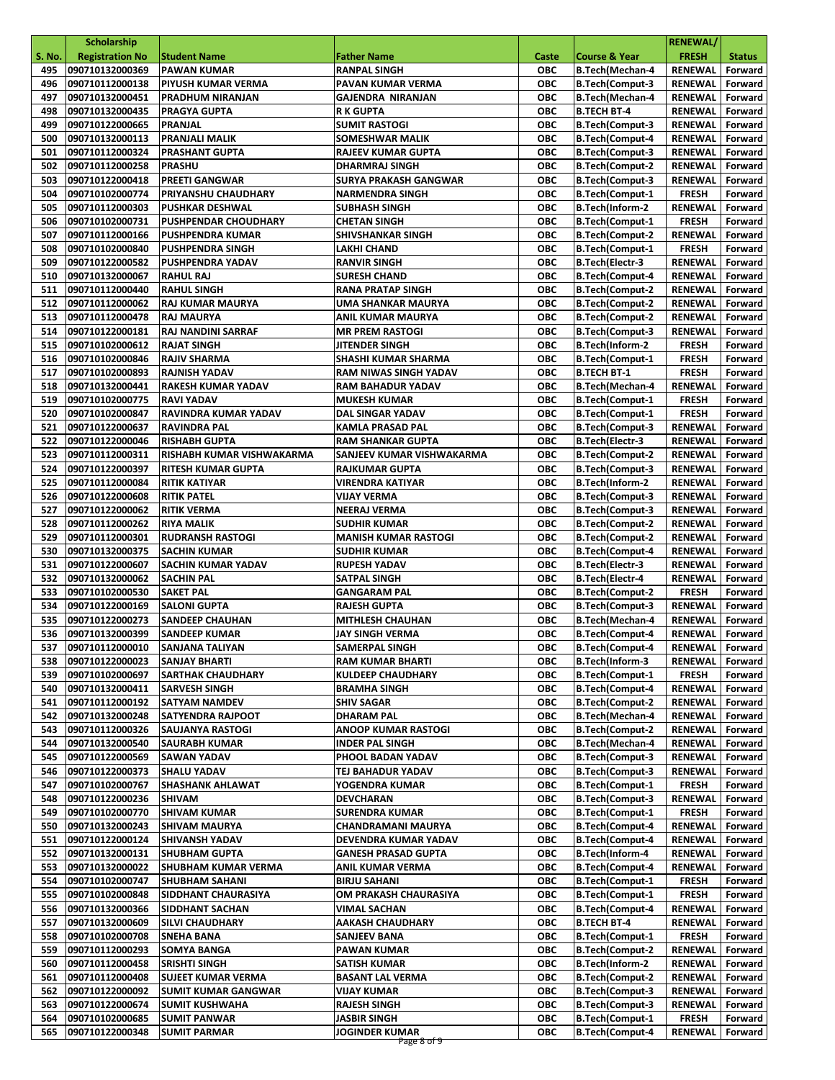|               | <b>Scholarship</b>                     |                                                |                                      |                   |                                                  | <b>RENEWAL/</b>            |                    |
|---------------|----------------------------------------|------------------------------------------------|--------------------------------------|-------------------|--------------------------------------------------|----------------------------|--------------------|
| <b>S. No.</b> | <b>Registration No</b>                 | <b>Student Name</b>                            | <b>Father Name</b>                   | Caste             | <b>Course &amp; Year</b>                         | <b>FRESH</b>               | <b>Status</b>      |
| 495           | 090710132000369                        | <b>PAWAN KUMAR</b>                             | <b>RANPAL SINGH</b>                  | <b>OBC</b>        | <b>B.Tech</b> (Mechan-4                          | <b>RENEWAL</b>             | Forward            |
| 496           | 090710112000138                        | <b>PIYUSH KUMAR VERMA</b>                      | PAVAN KUMAR VERMA                    | <b>OBC</b>        | <b>B.Tech(Comput-3</b>                           | <b>RENEWAL</b>             | Forward            |
| 497           | 090710132000451                        | <b>PRADHUM NIRANJAN</b>                        | <b>GAJENDRA NIRANJAN</b>             | ОВС               | <b>B.Tech(Mechan-4</b>                           | RENEWAL                    | Forward            |
| 498           | 090710132000435                        | <b>PRAGYA GUPTA</b>                            | <b>R K GUPTA</b>                     | ОВС               | <b>B.TECH BT-4</b>                               | RENEWAL                    | Forward            |
| 499           | 090710122000665                        | PRANJAL                                        | <b>SUMIT RASTOGI</b>                 | <b>OBC</b>        | <b>B.Tech(Comput-3</b>                           | <b>RENEWAL</b>             | Forward            |
| 500           | 090710132000113                        | <b>PRANJALI MALIK</b>                          | SOMESHWAR MALIK                      | ОВС               | <b>B.Tech(Comput-4</b>                           | RENEWAL                    | Forward            |
| 501           | 090710112000324                        | <b>PRASHANT GUPTA</b>                          | <b>RAJEEV KUMAR GUPTA</b>            | ОВС               | <b>B.Tech(Comput-3</b>                           | <b>RENEWAL</b>             | Forward            |
| 502           | 090710112000258                        | <b>PRASHU</b>                                  | <b>DHARMRAJ SINGH</b>                | <b>OBC</b>        | <b>B.Tech(Comput-2</b>                           | <b>RENEWAL</b>             | Forward            |
| 503           | 090710122000418                        | <b>PREETI GANGWAR</b>                          | <b>SURYA PRAKASH GANGWAR</b>         | ОВС               | <b>B.Tech(Comput-3</b>                           | <b>RENEWAL</b>             | Forward            |
| 504           | 090710102000774                        | <b>PRIYANSHU CHAUDHARY</b>                     | <b>NARMENDRA SINGH</b>               | <b>OBC</b>        | <b>B.Tech(Comput-1</b>                           | <b>FRESH</b>               | Forward            |
| 505           | 090710112000303                        | <b>PUSHKAR DESHWAL</b>                         | <b>SUBHASH SINGH</b>                 | ОВС               | <b>B.Tech(Inform-2</b>                           | <b>RENEWAL</b>             | Forward            |
| 506           | 090710102000731                        | <b>PUSHPENDAR CHOUDHARY</b>                    | <b>CHETAN SINGH</b>                  | <b>OBC</b>        | <b>B.Tech(Comput-1</b>                           | <b>FRESH</b>               | Forward            |
| 507           | 090710112000166                        | <b>PUSHPENDRA KUMAR</b>                        | SHIVSHANKAR SINGH                    | <b>OBC</b>        | <b>B.Tech(Comput-2</b>                           | <b>RENEWAL</b>             | Forward            |
| 508           | 090710102000840                        | <b>PUSHPENDRA SINGH</b>                        | LAKHI CHAND                          | <b>OBC</b>        | <b>B.Tech(Comput-1</b>                           | <b>FRESH</b>               | Forward            |
| 509           | 090710122000582                        | <b>PUSHPENDRA YADAV</b>                        | <b>RANVIR SINGH</b>                  | <b>OBC</b>        | <b>B.Tech</b> (Electr-3                          | <b>RENEWAL</b>             | Forward            |
| 510           | 090710132000067                        | <b>RAHUL RAJ</b>                               | <b>SURESH CHAND</b>                  | <b>OBC</b>        | <b>B.Tech(Comput-4</b>                           | <b>RENEWAL</b>             | Forward            |
| 511           | 090710112000440                        | <b>RAHUL SINGH</b>                             | <b>RANA PRATAP SINGH</b>             | <b>OBC</b>        | <b>B.Tech(Comput-2</b>                           | <b>RENEWAL</b>             | Forward            |
| 512           | 090710112000062                        | <b>RAJ KUMAR MAURYA</b>                        | UMA SHANKAR MAURYA                   | <b>OBC</b>        | <b>B.Tech(Comput-2</b>                           | <b>RENEWAL</b>             | Forward            |
| 513           | 090710112000478                        | <b>RAJ MAURYA</b>                              | <b>ANIL KUMAR MAURYA</b>             | <b>OBC</b>        | <b>B.Tech(Comput-2</b>                           | <b>RENEWAL</b>             | Forward            |
| 514           | 090710122000181                        | <b>RAJ NANDINI SARRAF</b>                      | <b>MR PREM RASTOGI</b>               | ОВС               | <b>B.Tech(Comput-3</b>                           | <b>RENEWAL</b>             | Forward            |
| 515           | 090710102000612                        | <b>RAJAT SINGH</b>                             | <b>JITENDER SINGH</b>                | <b>OBC</b>        | B.Tech(Inform-2                                  | <b>FRESH</b>               | Forward            |
| 516           | 090710102000846                        | <b>RAJIV SHARMA</b>                            | SHASHI KUMAR SHARMA                  | ОВС               | <b>B.Tech(Comput-1</b>                           | <b>FRESH</b>               | Forward            |
| 517           | 090710102000893                        | <b>RAJNISH YADAV</b>                           | RAM NIWAS SINGH YADAV                | <b>OBC</b>        | <b>B.TECH BT-1</b>                               | <b>FRESH</b>               | Forward            |
| 518           | 090710132000441                        | <b>RAKESH KUMAR YADAV</b>                      | <b>RAM BAHADUR YADAV</b>             | <b>OBC</b>        | B.Tech(Mechan-4                                  | <b>RENEWAL</b>             | Forward            |
| 519           | 090710102000775                        | <b>RAVI YADAV</b>                              | <b>MUKESH KUMAR</b>                  | ОВС               | <b>B.Tech(Comput-1</b>                           | <b>FRESH</b>               | Forward            |
| 520           | 090710102000847                        | RAVINDRA KUMAR YADAV                           | DAL SINGAR YADAV                     | <b>OBC</b>        | <b>B.Tech(Comput-1</b>                           | <b>FRESH</b>               | Forward            |
| 521           | 090710122000637                        | <b>RAVINDRA PAL</b>                            | <b>KAMLA PRASAD PAL</b>              | <b>OBC</b>        | <b>B.Tech(Comput-3</b>                           | <b>RENEWAL</b>             | Forward            |
| 522           | 090710122000046                        | <b>RISHABH GUPTA</b>                           | <b>RAM SHANKAR GUPTA</b>             | ОВС               | <b>B.Tech</b> (Electr-3                          | RENEWAL                    | Forward            |
| 523           | 090710112000311                        | RISHABH KUMAR VISHWAKARMA                      | SANJEEV KUMAR VISHWAKARMA            | <b>OBC</b>        | <b>B.Tech(Comput-2</b>                           | <b>RENEWAL</b>             | Forward            |
| 524           | 090710122000397                        | <b>RITESH KUMAR GUPTA</b>                      | RAJKUMAR GUPTA                       | <b>OBC</b>        | <b>B.Tech(Comput-3</b>                           | <b>RENEWAL</b>             | Forward            |
| 525           | 090710112000084                        | <b>RITIK KATIYAR</b>                           | <b>VIRENDRA KATIYAR</b>              | <b>OBC</b>        | B.Tech(Inform-2                                  | <b>RENEWAL</b>             | Forward            |
| 526           | 090710122000608                        | <b>RITIK PATEL</b>                             | <b>VIJAY VERMA</b>                   | ОВС               | <b>B.Tech(Comput-3</b>                           | <b>RENEWAL</b>             | Forward            |
| 527           | 090710122000062                        | <b>RITIK VERMA</b>                             | NEERAJ VERMA                         | <b>OBC</b>        | <b>B.Tech(Comput-3</b>                           | <b>RENEWAL</b>             | Forward            |
| 528           |                                        |                                                | <b>SUDHIR KUMAR</b>                  | ОВС               |                                                  |                            | Forward            |
| 529           | 090710112000262<br>090710112000301     | <b>RIYA MALIK</b>                              |                                      | <b>OBC</b>        | <b>B.Tech(Comput-2</b>                           | RENEWAL                    |                    |
|               |                                        | <b>RUDRANSH RASTOGI</b>                        | <b>MANISH KUMAR RASTOGI</b>          |                   | <b>B.Tech(Comput-2</b>                           | <b>RENEWAL</b>             | Forward            |
| 530           | 090710132000375<br>090710122000607     | <b>SACHIN KUMAR</b>                            | <b>SUDHIR KUMAR</b>                  | ОВС<br><b>OBC</b> | <b>B.Tech(Comput-4</b>                           | <b>RENEWAL</b>             | Forward            |
| 531           |                                        | <b>SACHIN KUMAR YADAV</b>                      | <b>RUPESH YADAV</b>                  |                   | <b>B.Tech(Electr-3</b>                           | <b>RENEWAL</b>             | Forward            |
| 532           | 090710132000062                        | <b>SACHIN PAL</b>                              | SATPAL SINGH                         | <b>OBC</b>        | B.Tech(Electr-4                                  | <b>RENEWAL</b>             | Forward            |
| 533           | 090710102000530                        | <b>SAKET PAL</b>                               | <b>GANGARAM PAL</b>                  | <b>OBC</b>        | <b>B.Tech(Comput-2</b>                           | <b>FRESH</b>               | Forward            |
| 534           | 090710122000169                        | <b>SALONI GUPTA</b>                            | <b>RAJESH GUPTA</b>                  | <b>OBC</b>        | <b>B.Tech(Comput-3</b>                           | <b>RENEWAL</b>             | Forward            |
| 535           | 090710122000273                        | <b>SANDEEP CHAUHAN</b>                         | <b>MITHLESH CHAUHAN</b>              | ОВС               | B.Tech(Mechan-4                                  | <b>RENEWAL</b>             | Forward<br>Forward |
| 536           | 090710132000399<br>537 090710112000010 | <b>SANDEEP KUMAR</b><br><b>SANJANA TALIYAN</b> | <b>JAY SINGH VERMA</b>               | ОВС<br>OBC        | <b>B.Tech(Comput-4</b><br><b>B.Tech(Comput-4</b> | RENEWAL<br>RENEWAL Forward |                    |
|               |                                        |                                                | <b>SAMERPAL SINGH</b>                |                   |                                                  |                            |                    |
| 538           | 090710122000023                        | SANJAY BHARTI                                  | <b>RAM KUMAR BHARTI</b>              | ОВС               | B.Tech(Inform-3                                  | RENEWAL                    | Forward            |
| 539           | 090710102000697                        | <b>SARTHAK CHAUDHARY</b>                       | <b>KULDEEP CHAUDHARY</b>             | ОВС               | <b>B.Tech(Comput-1</b>                           | <b>FRESH</b>               | Forward            |
| 540           | 090710132000411                        | <b>SARVESH SINGH</b>                           | <b>BRAMHA SINGH</b>                  | <b>OBC</b>        | <b>B.Tech(Comput-4</b>                           | RENEWAL                    | Forward            |
| 541           | 090710112000192                        | <b>SATYAM NAMDEV</b>                           | <b>SHIV SAGAR</b>                    | ОВС               | <b>B.Tech(Comput-2</b>                           | RENEWAL                    | Forward            |
| 542           | 090710132000248                        | <b>SATYENDRA RAJPOOT</b>                       | <b>DHARAM PAL</b>                    | <b>OBC</b>        | B.Tech(Mechan-4                                  | <b>RENEWAL</b>             | Forward            |
| 543           | 090710112000326                        | <b>SAUJANYA RASTOGI</b>                        | <b>ANOOP KUMAR RASTOGI</b>           | ОВС               | <b>B.Tech(Comput-2</b>                           | RENEWAL                    | Forward            |
| 544           | 090710132000540                        | <b>SAURABH KUMAR</b>                           | <b>INDER PAL SINGH</b>               | ОВС               | B.Tech(Mechan-4                                  | RENEWAL                    | Forward            |
| 545           | 090710122000569                        | <b>SAWAN YADAV</b>                             | PHOOL BADAN YADAV                    | ОВС               | <b>B.Tech(Comput-3</b>                           | <b>RENEWAL</b>             | Forward            |
| 546           | 090710122000373                        | <b>SHALU YADAV</b>                             | TEJ BAHADUR YADAV                    | ОВС               | <b>B.Tech(Comput-3</b>                           | <b>RENEWAL</b>             | Forward            |
| 547           | 090710102000767                        | <b>SHASHANK AHLAWAT</b>                        | YOGENDRA KUMAR                       | ОВС               | <b>B.Tech(Comput-1</b>                           | <b>FRESH</b>               | Forward            |
| 548           | 090710122000236                        | <b>SHIVAM</b>                                  | DEVCHARAN                            | ОВС               | <b>B.Tech(Comput-3</b>                           | <b>RENEWAL</b>             | Forward            |
| 549           | 090710102000770                        | <b>SHIVAM KUMAR</b>                            | <b>SURENDRA KUMAR</b>                | ОВС               | <b>B.Tech(Comput-1</b>                           | <b>FRESH</b>               | Forward            |
| 550           | 090710132000243                        | <b>SHIVAM MAURYA</b>                           | <b>CHANDRAMANI MAURYA</b>            | ОВС               | <b>B.Tech(Comput-4</b>                           | <b>RENEWAL</b>             | Forward            |
| 551           | 090710122000124                        | <b>SHIVANSH YADAV</b>                          | DEVENDRA KUMAR YADAV                 | ОВС               | <b>B.Tech(Comput-4</b>                           | <b>RENEWAL</b>             | Forward            |
| 552           | 090710132000131                        | <b>SHUBHAM GUPTA</b>                           | <b>GANESH PRASAD GUPTA</b>           | ОВС               | B.Tech(Inform-4                                  | RENEWAL                    | Forward            |
| 553           | 090710132000022                        | SHUBHAM KUMAR VERMA                            | ANIL KUMAR VERMA                     | ОВС               | <b>B.Tech(Comput-4</b>                           | RENEWAL                    | Forward            |
| 554           | 090710102000747                        | <b>SHUBHAM SAHANI</b>                          | <b>BIRJU SAHANI</b>                  | ОВС               | <b>B.Tech(Comput-1</b>                           | <b>FRESH</b>               | Forward            |
| 555           | 090710102000848                        | SIDDHANT CHAURASIYA                            | OM PRAKASH CHAURASIYA                | ОВС               | <b>B.Tech(Comput-1</b>                           | <b>FRESH</b>               | Forward            |
| 556           | 090710132000366                        | <b>SIDDHANT SACHAN</b>                         | VIMAL SACHAN                         | <b>OBC</b>        | <b>B.Tech(Comput-4</b>                           | <b>RENEWAL</b>             | Forward            |
| 557           | 090710132000609                        | <b>SILVI CHAUDHARY</b>                         | <b>AAKASH CHAUDHARY</b>              | ОВС               | <b>B.TECH BT-4</b>                               | RENEWAL                    | Forward            |
| 558           | 090710102000708                        | <b>SNEHA BANA</b>                              | <b>SANJEEV BANA</b>                  | ОВС               | <b>B.Tech(Comput-1</b>                           | <b>FRESH</b>               | Forward            |
| 559           | 090710112000293                        | <b>SOMYA BANGA</b>                             | PAWAN KUMAR                          | ОВС               | <b>B.Tech(Comput-2</b>                           | <b>RENEWAL</b>             | Forward            |
| 560           | 090710112000458                        | <b>SRISHTI SINGH</b>                           | SATISH KUMAR                         | ОВС               | B.Tech(Inform-2                                  | RENEWAL                    | Forward            |
| 561           | 090710112000408                        | SUJEET KUMAR VERMA                             | <b>BASANT LAL VERMA</b>              | ОВС               | <b>B.Tech(Comput-2</b>                           | RENEWAL                    | Forward            |
| 562           | 090710122000092                        | <b>SUMIT KUMAR GANGWAR</b>                     | VIJAY KUMAR                          | ОВС               | <b>B.Tech(Comput-3</b>                           | RENEWAL                    | Forward            |
| 563           | 090710122000674                        | <b>SUMIT KUSHWAHA</b>                          | <b>RAJESH SINGH</b>                  | ОВС               | <b>B.Tech(Comput-3</b>                           | RENEWAL                    | Forward            |
| 564           | 090710102000685                        | <b>SUMIT PANWAR</b>                            | <b>JASBIR SINGH</b>                  | ОВС               | <b>B.Tech(Comput-1</b>                           | <b>FRESH</b>               | Forward            |
| 565           | 090710122000348                        | <b>SUMIT PARMAR</b>                            | <b>JOGINDER KUMAR</b><br>Page 8 of 9 | ОВС               | <b>B.Tech(Comput-4</b>                           | RENEWAL                    | Forward            |